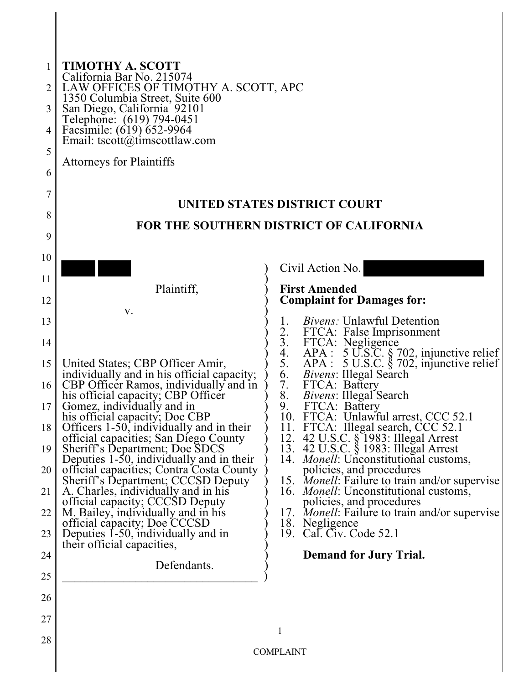| $\overline{2}$<br>3<br>4<br>5<br>6<br>7<br>8<br>9                                                          | <b>TIMOTHY A. SCOTT</b><br>California Bar No. 215074<br>LAW OFFICES OF TIMOTHY A. SCOTT, APC<br>1350 Columbia Street, Suite 600<br>San Diego, California 92101<br>Telephone: (619) 794-0451<br>Facsimile: (619) 652-9964<br>Email: tscott@timscottlaw.com<br><b>Attorneys for Plaintiffs</b>                                                                                                                                                                                                                                                                                                                                                                                                                           | UNITED STATES DISTRICT COURT<br><b>FOR THE SOUTHERN DISTRICT OF CALIFORNIA</b>                                                                                                                                                                                                                                                                                                                                                                                                                                                                                                                                                                                                                                                                                                                                                                         |
|------------------------------------------------------------------------------------------------------------|------------------------------------------------------------------------------------------------------------------------------------------------------------------------------------------------------------------------------------------------------------------------------------------------------------------------------------------------------------------------------------------------------------------------------------------------------------------------------------------------------------------------------------------------------------------------------------------------------------------------------------------------------------------------------------------------------------------------|--------------------------------------------------------------------------------------------------------------------------------------------------------------------------------------------------------------------------------------------------------------------------------------------------------------------------------------------------------------------------------------------------------------------------------------------------------------------------------------------------------------------------------------------------------------------------------------------------------------------------------------------------------------------------------------------------------------------------------------------------------------------------------------------------------------------------------------------------------|
| 10                                                                                                         |                                                                                                                                                                                                                                                                                                                                                                                                                                                                                                                                                                                                                                                                                                                        | Civil Action No.                                                                                                                                                                                                                                                                                                                                                                                                                                                                                                                                                                                                                                                                                                                                                                                                                                       |
| 11                                                                                                         | Plaintiff,                                                                                                                                                                                                                                                                                                                                                                                                                                                                                                                                                                                                                                                                                                             | <b>First Amended</b>                                                                                                                                                                                                                                                                                                                                                                                                                                                                                                                                                                                                                                                                                                                                                                                                                                   |
| 12                                                                                                         | V.                                                                                                                                                                                                                                                                                                                                                                                                                                                                                                                                                                                                                                                                                                                     | <b>Complaint for Damages for:</b>                                                                                                                                                                                                                                                                                                                                                                                                                                                                                                                                                                                                                                                                                                                                                                                                                      |
| 13<br>14<br>15<br>16 <sup>1</sup><br>17 <sub>l</sub><br>18<br>19<br>20<br>21<br>22<br>23<br>24<br>25<br>26 | United States; CBP Officer Amir,<br>individually and in his official capacity;<br>CBP Officer Ramos, individually and in<br>his official capacity; CBP Officer<br>Gomez, individually and in<br>his official capacity; Doe CBP<br>Officers 1-50, individually and in their<br>official capacities; San Diego County<br>Sheriff's Department; Doe SDCS<br>Deputies 1-50, individually and in their<br>official capacities; Contra Costa County<br>Sheriff's Department; CCCSD Deputy<br>A. Charles, individually and in his<br>official capacity; CCCSD Deputy<br>M. Bailey, individually and in his<br>official capacity; Doe CCCSD<br>Deputies 1-50, individually and in<br>their official capacities,<br>Defendants. | Bivens: Unlawful Detention<br>1.<br>$\frac{2}{3}$ .<br>FTCA: False Imprisonment<br>FTCA: Negligence<br>APA : 5 U.S.C. § 702, injunctive relief<br>APA : 5 U.S.C. § 702, injunctive relief<br>4.<br>5.<br>Bivens: Illegal Search<br>6.<br>7.<br>FTCA: Battery<br>Bivens: Illegal Search<br>8.<br>9.<br>FTCA: Battery<br>FTCA: Unlawful arrest, CCC 52.1<br>10.<br>FTCA: Illegal search, CCC 52.1<br>11.<br>12.<br>42 U.S.C. § 1983: Illegal Arrest<br>42 U.S.C. § 1983: Illegal Arrest<br>13.<br>14. <i>Monell</i> : Unconstitutional customs,<br>policies, and procedures<br>15. <i>Monell</i> : Failure to train and/or supervise<br>16. <i>Monell</i> : Unconstitutional customs,<br>policies, and procedures<br>17. <i>Monell</i> : Failure to train and/or supervise<br>18. Negligence<br>19. Cal. Civ. Code 52.1<br><b>Demand for Jury Trial.</b> |
| 27<br>28                                                                                                   |                                                                                                                                                                                                                                                                                                                                                                                                                                                                                                                                                                                                                                                                                                                        | 1<br><b>COMPLAINT</b>                                                                                                                                                                                                                                                                                                                                                                                                                                                                                                                                                                                                                                                                                                                                                                                                                                  |
|                                                                                                            |                                                                                                                                                                                                                                                                                                                                                                                                                                                                                                                                                                                                                                                                                                                        |                                                                                                                                                                                                                                                                                                                                                                                                                                                                                                                                                                                                                                                                                                                                                                                                                                                        |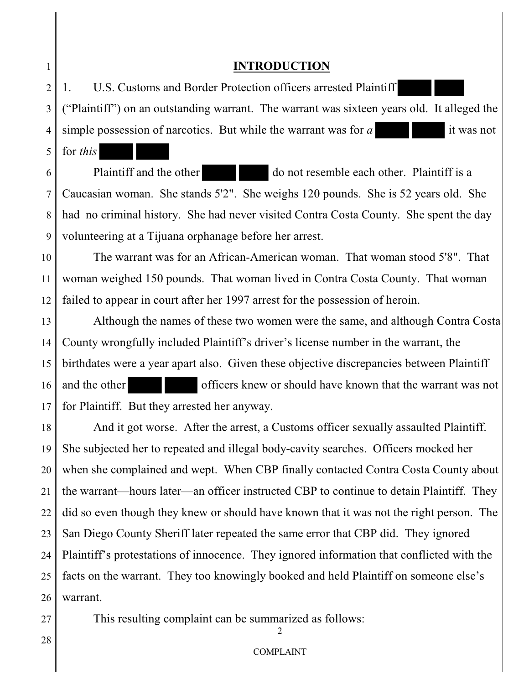# **INTRODUCTION**

2 3 4 1. U.S. Customs and Border Protection officers arrested Plaintiff ("Plaintiff") on an outstanding warrant. The warrant was sixteen years old. It alleged the simple possession of narcotics. But while the warrant was for *a* it was not

6 7 8 9 Plaintiff and the other do not resemble each other. Plaintiff is a Caucasian woman. She stands 5'2". She weighs 120 pounds. She is 52 years old. She had no criminal history. She had never visited Contra Costa County. She spent the day volunteering at a Tijuana orphanage before her arrest.

10 11 12 The warrant was for an African-American woman. That woman stood 5'8". That woman weighed 150 pounds. That woman lived in Contra Costa County. That woman failed to appear in court after her 1997 arrest for the possession of heroin.

13 14 15 16 17 Although the names of these two women were the same, and although Contra Costa County wrongfully included Plaintiff's driver's license number in the warrant, the birthdates were a year apart also. Given these objective discrepancies between Plaintiff and the other officers knew or should have known that the warrant was not for Plaintiff. But they arrested her anyway.

18 19 20 21 22 23 24 25 26 And it got worse. After the arrest, a Customs officer sexually assaulted Plaintiff. She subjected her to repeated and illegal body-cavity searches. Officers mocked her when she complained and wept. When CBP finally contacted Contra Costa County about the warrant—hours later—an officer instructed CBP to continue to detain Plaintiff. They did so even though they knew or should have known that it was not the right person. The San Diego County Sheriff later repeated the same error that CBP did. They ignored Plaintiff's protestations of innocence. They ignored information that conflicted with the facts on the warrant. They too knowingly booked and held Plaintiff on someone else's warrant.

This resulting complaint can be summarized as follows:

 $\mathcal{D}$ 

27

1

5

for *this*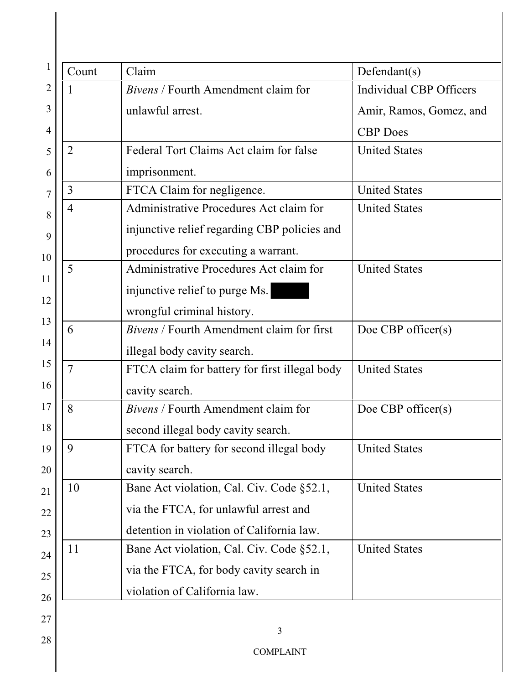| Count          | Claim                                            | Defendant(s)                   |
|----------------|--------------------------------------------------|--------------------------------|
|                | <i>Bivens</i> / Fourth Amendment claim for       | <b>Individual CBP Officers</b> |
|                | unlawful arrest.                                 | Amir, Ramos, Gomez, and        |
|                |                                                  | <b>CBP</b> Does                |
| $\overline{2}$ | Federal Tort Claims Act claim for false          | <b>United States</b>           |
|                | imprisonment.                                    |                                |
| 3              | FTCA Claim for negligence.                       | <b>United States</b>           |
| 4              | Administrative Procedures Act claim for          | <b>United States</b>           |
|                | injunctive relief regarding CBP policies and     |                                |
|                | procedures for executing a warrant.              |                                |
| 5              | Administrative Procedures Act claim for          | <b>United States</b>           |
|                | injunctive relief to purge Ms.                   |                                |
|                | wrongful criminal history.                       |                                |
| 6              | <i>Bivens</i> / Fourth Amendment claim for first | Doe CBP officer $(s)$          |
|                | illegal body cavity search.                      |                                |
| $\overline{7}$ | FTCA claim for battery for first illegal body    | <b>United States</b>           |
| cavity search. |                                                  |                                |
| 8              | Bivens / Fourth Amendment claim for              | Doe CBP officer $(s)$          |
|                | second illegal body cavity search.               |                                |
| 9              | FTCA for battery for second illegal body         | <b>United States</b>           |
|                | cavity search.                                   |                                |
| 10             | Bane Act violation, Cal. Civ. Code §52.1,        | <b>United States</b>           |
|                | via the FTCA, for unlawful arrest and            |                                |
|                | detention in violation of California law.        |                                |
| 11             | Bane Act violation, Cal. Civ. Code §52.1,        | <b>United States</b>           |
|                | via the FTCA, for body cavity search in          |                                |
|                | violation of California law.                     |                                |
|                |                                                  |                                |
|                | 3                                                |                                |
|                | <b>COMPLAINT</b>                                 |                                |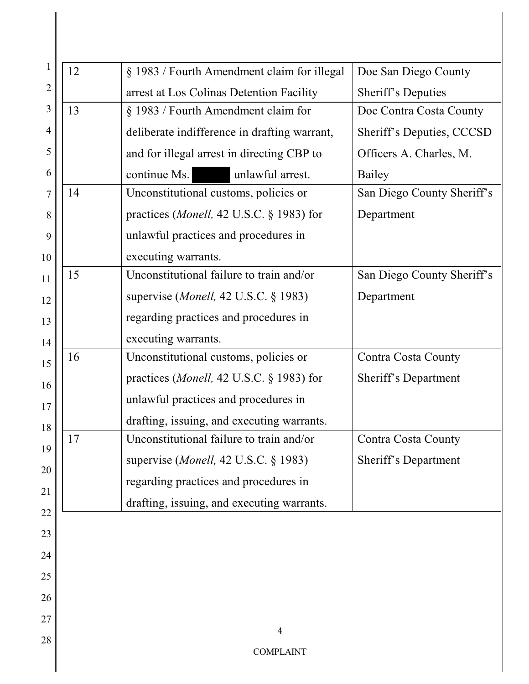|                | 12                                                             | § 1983 / Fourth Amendment claim for illegal       | Doe San Diego County       |
|----------------|----------------------------------------------------------------|---------------------------------------------------|----------------------------|
| $\overline{2}$ | arrest at Los Colinas Detention Facility<br>Sheriff's Deputies |                                                   |                            |
| 3              | 13<br>§ 1983 / Fourth Amendment claim for                      |                                                   | Doe Contra Costa County    |
| 4              | deliberate indifference in drafting warrant,                   |                                                   | Sheriff's Deputies, CCCSD  |
| 5              | and for illegal arrest in directing CBP to                     |                                                   | Officers A. Charles, M.    |
| 6              | continue Ms.<br>unlawful arrest.<br><b>Bailey</b>              |                                                   |                            |
| 7              | 14<br>Unconstitutional customs, policies or                    |                                                   | San Diego County Sheriff's |
| 8              |                                                                | practices ( <i>Monell</i> , 42 U.S.C. § 1983) for | Department                 |
| 9              |                                                                | unlawful practices and procedures in              |                            |
| 10             |                                                                | executing warrants.                               |                            |
| 11             | 15                                                             | Unconstitutional failure to train and/or          | San Diego County Sheriff's |
| 12             |                                                                | supervise ( <i>Monell</i> , 42 U.S.C. $\S$ 1983)  | Department                 |
| 13             |                                                                | regarding practices and procedures in             |                            |
| 14             |                                                                | executing warrants.                               |                            |
| 15             | 16                                                             | Unconstitutional customs, policies or             | Contra Costa County        |
| 16             |                                                                | practices ( <i>Monell</i> , 42 U.S.C. § 1983) for | Sheriff's Department       |
| 17             |                                                                | unlawful practices and procedures in              |                            |
| 18             |                                                                | drafting, issuing, and executing warrants.        |                            |
| 19             | 17                                                             | Unconstitutional failure to train and/or          | <b>Contra Costa County</b> |
| 20             |                                                                | supervise ( <i>Monell</i> , 42 U.S.C. $\S$ 1983)  | Sheriff's Department       |
| 21             |                                                                | regarding practices and procedures in             |                            |
|                |                                                                | drafting, issuing, and executing warrants.        |                            |
| 22             |                                                                |                                                   |                            |
| 23             |                                                                |                                                   |                            |
| 24             |                                                                |                                                   |                            |
| 25             |                                                                |                                                   |                            |
| 26             |                                                                |                                                   |                            |
| 27             |                                                                | $\overline{4}$                                    |                            |
| 28             |                                                                | <b>COMPLAINT</b>                                  |                            |
|                |                                                                |                                                   |                            |

 $\mathbf l$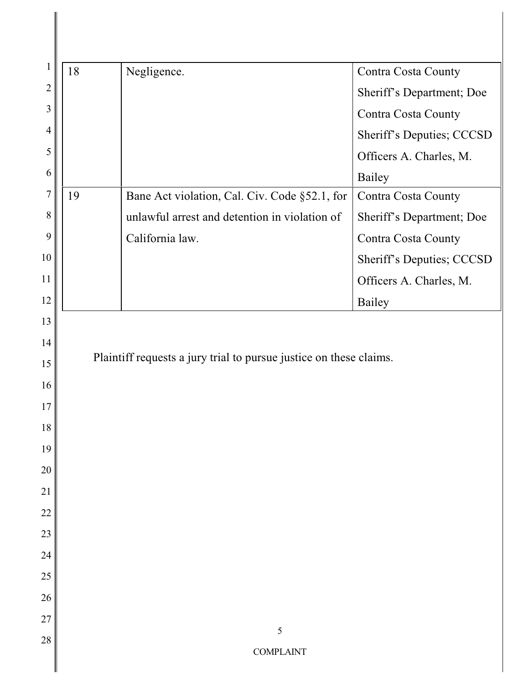| 18 | Negligence.                                                        | Contra Costa County        |
|----|--------------------------------------------------------------------|----------------------------|
|    |                                                                    | Sheriff's Department; Doe  |
|    |                                                                    | Contra Costa County        |
|    |                                                                    | Sheriff's Deputies; CCCSD  |
|    |                                                                    | Officers A. Charles, M.    |
|    |                                                                    | <b>Bailey</b>              |
| 19 | Bane Act violation, Cal. Civ. Code §52.1, for                      | Contra Costa County        |
|    | unlawful arrest and detention in violation of                      | Sheriff's Department; Doe  |
|    | California law.                                                    | <b>Contra Costa County</b> |
|    |                                                                    | Sheriff's Deputies; CCCSD  |
|    |                                                                    | Officers A. Charles, M.    |
|    |                                                                    |                            |
|    | Plaintiff requests a jury trial to pursue justice on these claims. | Bailey                     |
|    |                                                                    |                            |
|    |                                                                    |                            |
|    |                                                                    |                            |
|    |                                                                    |                            |
|    |                                                                    |                            |
|    |                                                                    |                            |
|    |                                                                    |                            |
|    |                                                                    |                            |
|    |                                                                    |                            |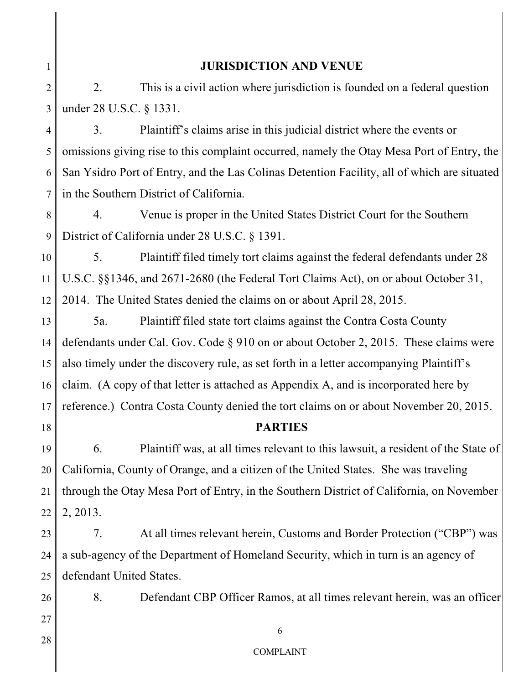# **JURISDICTION AND VENUE**

2 3 2. This is a civil action where jurisdiction is founded on a federal question under 28 U.S.C. § 1331.

4 5 6 7 3. Plaintiff's claims arise in this judicial district where the events or omissions giving rise to this complaint occurred, namely the Otay Mesa Port of Entry, the San Ysidro Port of Entry, and the Las Colinas Detention Facility, all of which are situated in the Southern District of California.

8 9 4. Venue is proper in the United States District Court for the Southern District of California under 28 U.S.C. § 1391.

10 11 12 5. Plaintiff filed timely tort claims against the federal defendants under 28 U.S.C. §§1346, and 2671-2680 (the Federal Tort Claims Act), on or about October 31, 2014. The United States denied the claims on or about April 28, 2015.

13 14 15 16 17 5a. Plaintiff filed state tort claims against the Contra Costa County defendants under Cal. Gov. Code § 910 on or about October 2, 2015. These claims were also timely under the discovery rule, as set forth in a letter accompanying Plaintiff's claim. (A copy of that letter is attached as Appendix A, and is incorporated here by reference.) Contra Costa County denied the tort claims on or about November 20, 2015.

# **PARTIES**

19 20 21 22 6. Plaintiff was, at all times relevant to this lawsuit, a resident of the State of California, County of Orange, and a citizen of the United States. She was traveling through the Otay Mesa Port of Entry, in the Southern District of California, on November 2, 2013.

23 24 25 7. At all times relevant herein, Customs and Border Protection ("CBP") was a sub-agency of the Department of Homeland Security, which in turn is an agency of defendant United States.

8. Defendant CBP Officer Ramos, at all times relevant herein, was an officer

27 28

26

18

1

COMPLAINT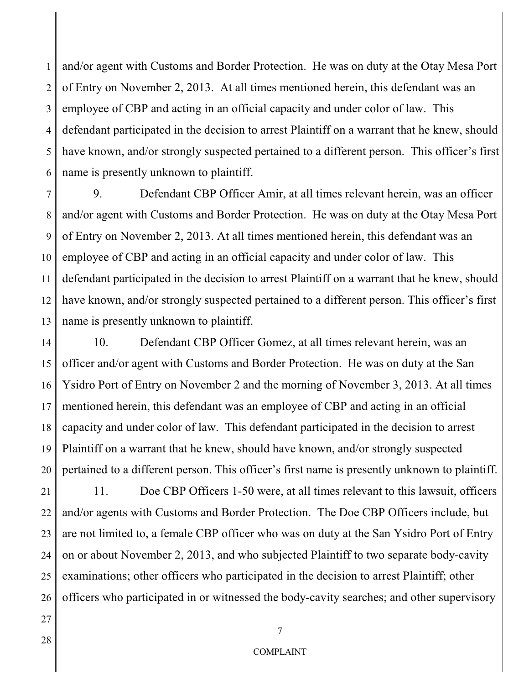1 2 3 4 5 6 and/or agent with Customs and Border Protection. He was on duty at the Otay Mesa Port of Entry on November 2, 2013. At all times mentioned herein, this defendant was an employee of CBP and acting in an official capacity and under color of law. This defendant participated in the decision to arrest Plaintiff on a warrant that he knew, should have known, and/or strongly suspected pertained to a different person. This officer's first name is presently unknown to plaintiff.

7 8 9 10 11 12 13 9. Defendant CBP Officer Amir, at all times relevant herein, was an officer and/or agent with Customs and Border Protection. He was on duty at the Otay Mesa Port of Entry on November 2, 2013. At all times mentioned herein, this defendant was an employee of CBP and acting in an official capacity and under color of law. This defendant participated in the decision to arrest Plaintiff on a warrant that he knew, should have known, and/or strongly suspected pertained to a different person. This officer's first name is presently unknown to plaintiff.

14 15 16 17 18 19 20 10. Defendant CBP Officer Gomez, at all times relevant herein, was an officer and/or agent with Customs and Border Protection. He was on duty at the San Ysidro Port of Entry on November 2 and the morning of November 3, 2013. At all times mentioned herein, this defendant was an employee of CBP and acting in an official capacity and under color of law. This defendant participated in the decision to arrest Plaintiff on a warrant that he knew, should have known, and/or strongly suspected pertained to a different person. This officer's first name is presently unknown to plaintiff.

21 22 23 24 25 26 11. Doe CBP Officers 1-50 were, at all times relevant to this lawsuit, officers and/or agents with Customs and Border Protection. The Doe CBP Officers include, but are not limited to, a female CBP officer who was on duty at the San Ysidro Port of Entry on or about November 2, 2013, and who subjected Plaintiff to two separate body-cavity examinations; other officers who participated in the decision to arrest Plaintiff; other officers who participated in or witnessed the body-cavity searches; and other supervisory

28

27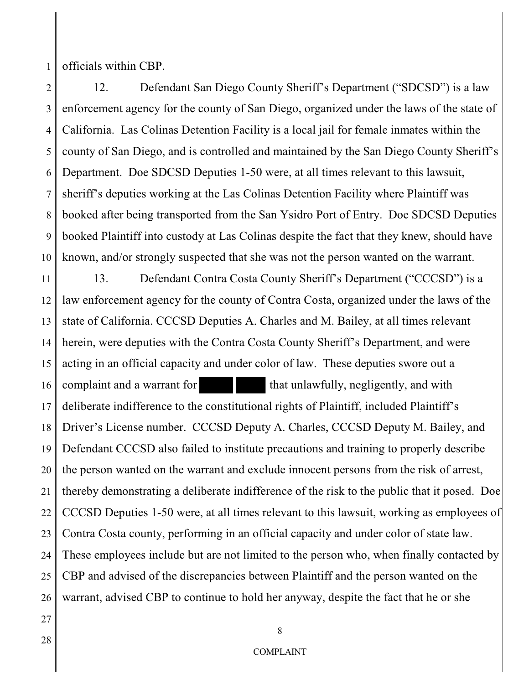1 officials within CBP.

2 3 4 5 6 7 8 9 10 12. Defendant San Diego County Sheriff's Department ("SDCSD") is a law enforcement agency for the county of San Diego, organized under the laws of the state of California. Las Colinas Detention Facility is a local jail for female inmates within the county of San Diego, and is controlled and maintained by the San Diego County Sheriff's Department. Doe SDCSD Deputies 1-50 were, at all times relevant to this lawsuit, sheriff's deputies working at the Las Colinas Detention Facility where Plaintiff was booked after being transported from the San Ysidro Port of Entry. Doe SDCSD Deputies booked Plaintiff into custody at Las Colinas despite the fact that they knew, should have known, and/or strongly suspected that she was not the person wanted on the warrant.

11 12 13 14 15 16 17 18 19 20 21 22 23 24 25 26 13. Defendant Contra Costa County Sheriff's Department ("CCCSD") is a law enforcement agency for the county of Contra Costa, organized under the laws of the state of California. CCCSD Deputies A. Charles and M. Bailey, at all times relevant herein, were deputies with the Contra Costa County Sheriff's Department, and were acting in an official capacity and under color of law. These deputies swore out a complaint and a warrant for that unlawfully, negligently, and with deliberate indifference to the constitutional rights of Plaintiff, included Plaintiff's Driver's License number. CCCSD Deputy A. Charles, CCCSD Deputy M. Bailey, and Defendant CCCSD also failed to institute precautions and training to properly describe the person wanted on the warrant and exclude innocent persons from the risk of arrest, thereby demonstrating a deliberate indifference of the risk to the public that it posed. Doe CCCSD Deputies 1-50 were, at all times relevant to this lawsuit, working as employees of Contra Costa county, performing in an official capacity and under color of state law. These employees include but are not limited to the person who, when finally contacted by CBP and advised of the discrepancies between Plaintiff and the person wanted on the warrant, advised CBP to continue to hold her anyway, despite the fact that he or she

27 28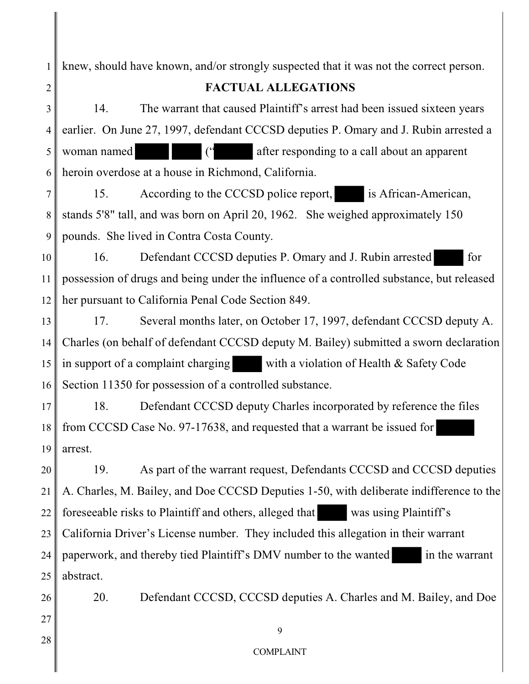1 2 3 4 5 6 7 8 9 10 11 12 13 14 15 16 17 18 19 20 21 22 23 24 25 26 27 28 knew, should have known, and/or strongly suspected that it was not the correct person. **FACTUAL ALLEGATIONS** 14. The warrant that caused Plaintiff's arrest had been issued sixteen years earlier. On June 27, 1997, defendant CCCSD deputies P. Omary and J. Rubin arrested a woman named  $($ " after responding to a call about an apparent heroin overdose at a house in Richmond, California. 15. According to the CCCSD police report, is African-American, stands 5'8" tall, and was born on April 20, 1962. She weighed approximately 150 pounds. She lived in Contra Costa County. 16. Defendant CCCSD deputies P. Omary and J. Rubin arrested for possession of drugs and being under the influence of a controlled substance, but released her pursuant to California Penal Code Section 849. 17. Several months later, on October 17, 1997, defendant CCCSD deputy A. Charles (on behalf of defendant CCCSD deputy M. Bailey) submitted a sworn declaration in support of a complaint charging with a violation of Health & Safety Code Section 11350 for possession of a controlled substance. 18. Defendant CCCSD deputy Charles incorporated by reference the files from CCCSD Case No. 97-17638, and requested that a warrant be issued for arrest. 19. As part of the warrant request, Defendants CCCSD and CCCSD deputies A. Charles, M. Bailey, and Doe CCCSD Deputies 1-50, with deliberate indifference to the foreseeable risks to Plaintiff and others, alleged that was using Plaintiff's California Driver's License number. They included this allegation in their warrant paperwork, and thereby tied Plaintiff's DMV number to the wanted in the warrant abstract. 20. Defendant CCCSD, CCCSD deputies A. Charles and M. Bailey, and Doe 9 COMPLAINT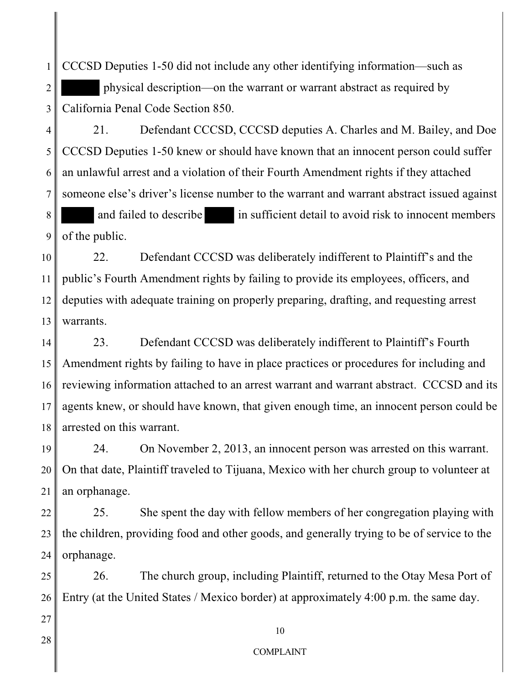1 2 3 CCCSD Deputies 1-50 did not include any other identifying information—such as physical description—on the warrant or warrant abstract as required by California Penal Code Section 850.

4 5 6 7 8 9 21. Defendant CCCSD, CCCSD deputies A. Charles and M. Bailey, and Doe CCCSD Deputies 1-50 knew or should have known that an innocent person could suffer an unlawful arrest and a violation of their Fourth Amendment rights if they attached someone else's driver's license number to the warrant and warrant abstract issued against and failed to describe in sufficient detail to avoid risk to innocent members of the public.

10 11 12 13 22. Defendant CCCSD was deliberately indifferent to Plaintiff's and the public's Fourth Amendment rights by failing to provide its employees, officers, and deputies with adequate training on properly preparing, drafting, and requesting arrest warrants.

14 15 16 17 18 23. Defendant CCCSD was deliberately indifferent to Plaintiff's Fourth Amendment rights by failing to have in place practices or procedures for including and reviewing information attached to an arrest warrant and warrant abstract. CCCSD and its agents knew, or should have known, that given enough time, an innocent person could be arrested on this warrant.

19 20 21 24. On November 2, 2013, an innocent person was arrested on this warrant. On that date, Plaintiff traveled to Tijuana, Mexico with her church group to volunteer at an orphanage.

22 23 24 25. She spent the day with fellow members of her congregation playing with the children, providing food and other goods, and generally trying to be of service to the orphanage.

25 26 26. The church group, including Plaintiff, returned to the Otay Mesa Port of Entry (at the United States / Mexico border) at approximately 4:00 p.m. the same day.

28

27

#### COMPLAINT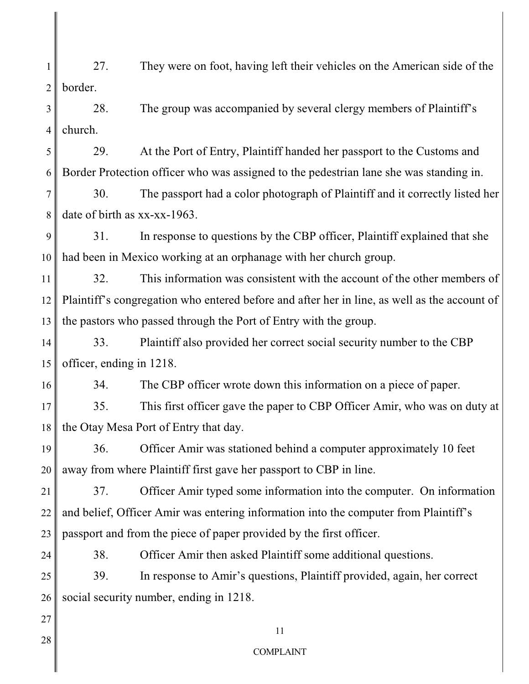1 2 27. They were on foot, having left their vehicles on the American side of the border.

3 4 28. The group was accompanied by several clergy members of Plaintiff's church.

5 6 29. At the Port of Entry, Plaintiff handed her passport to the Customs and Border Protection officer who was assigned to the pedestrian lane she was standing in.

7 8 30. The passport had a color photograph of Plaintiff and it correctly listed her date of birth as xx-xx-1963.

9 10 31. In response to questions by the CBP officer, Plaintiff explained that she had been in Mexico working at an orphanage with her church group.

11 12 13 32. This information was consistent with the account of the other members of Plaintiff's congregation who entered before and after her in line, as well as the account of the pastors who passed through the Port of Entry with the group.

14 15 33. Plaintiff also provided her correct social security number to the CBP officer, ending in 1218.

34. The CBP officer wrote down this information on a piece of paper.

17 18 35. This first officer gave the paper to CBP Officer Amir, who was on duty at the Otay Mesa Port of Entry that day.

19 20 36. Officer Amir was stationed behind a computer approximately 10 feet away from where Plaintiff first gave her passport to CBP in line.

21 22 23 37. Officer Amir typed some information into the computer. On information and belief, Officer Amir was entering information into the computer from Plaintiff's passport and from the piece of paper provided by the first officer.

24

16

38. Officer Amir then asked Plaintiff some additional questions.

25 26 39. In response to Amir's questions, Plaintiff provided, again, her correct social security number, ending in 1218.

27 28

11 COMPLAINT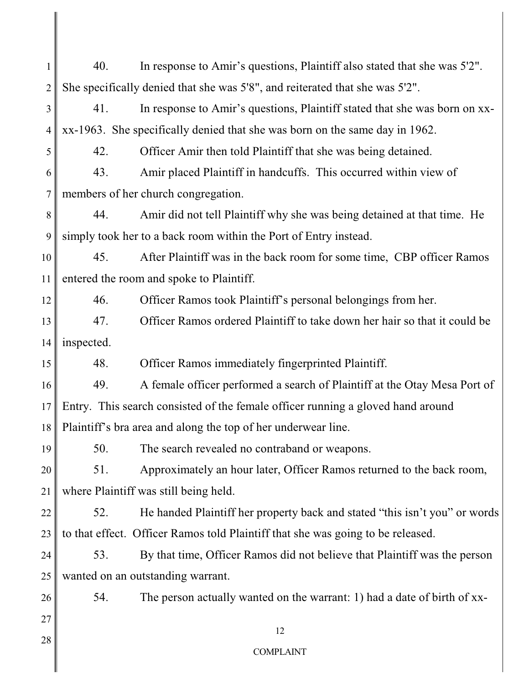| 1               | 40.                                                                             | In response to Amir's questions, Plaintiff also stated that she was 5'2".       |  |
|-----------------|---------------------------------------------------------------------------------|---------------------------------------------------------------------------------|--|
| $\overline{2}$  |                                                                                 | She specifically denied that she was 5'8", and reiterated that she was 5'2".    |  |
| 3               | 41.                                                                             | In response to Amir's questions, Plaintiff stated that she was born on xx-      |  |
| 4               |                                                                                 | xx-1963. She specifically denied that she was born on the same day in 1962.     |  |
| 5               | 42.                                                                             | Officer Amir then told Plaintiff that she was being detained.                   |  |
| 6               | 43.                                                                             | Amir placed Plaintiff in handcuffs. This occurred within view of                |  |
| 7               | members of her church congregation.                                             |                                                                                 |  |
| 8               | 44.                                                                             | Amir did not tell Plaintiff why she was being detained at that time. He         |  |
| 9               | simply took her to a back room within the Port of Entry instead.                |                                                                                 |  |
| 10              | 45.                                                                             | After Plaintiff was in the back room for some time, CBP officer Ramos           |  |
| 11              | entered the room and spoke to Plaintiff.                                        |                                                                                 |  |
| 12              | 46.                                                                             | Officer Ramos took Plaintiff's personal belongings from her.                    |  |
| 13              | 47.                                                                             | Officer Ramos ordered Plaintiff to take down her hair so that it could be       |  |
| 14              | inspected.                                                                      |                                                                                 |  |
| 15              | 48.                                                                             | Officer Ramos immediately fingerprinted Plaintiff.                              |  |
| 16              | 49.                                                                             | A female officer performed a search of Plaintiff at the Otay Mesa Port of       |  |
| 17 <sub>l</sub> | Entry. This search consisted of the female officer running a gloved hand around |                                                                                 |  |
| 18              | Plaintiff's bra area and along the top of her underwear line.                   |                                                                                 |  |
| 19              | 50.                                                                             | The search revealed no contraband or weapons.                                   |  |
| 20              | 51.                                                                             | Approximately an hour later, Officer Ramos returned to the back room,           |  |
| 21              | where Plaintiff was still being held.                                           |                                                                                 |  |
| 22              | 52.                                                                             | He handed Plaintiff her property back and stated "this isn't you" or words      |  |
| 23              |                                                                                 | to that effect. Officer Ramos told Plaintiff that she was going to be released. |  |
| 24              | 53.                                                                             | By that time, Officer Ramos did not believe that Plaintiff was the person       |  |
| 25              |                                                                                 | wanted on an outstanding warrant.                                               |  |
| 26              | 54.                                                                             | The person actually wanted on the warrant: 1) had a date of birth of xx-        |  |
| 27              |                                                                                 | 12                                                                              |  |
| 28              |                                                                                 | <b>COMPLAINT</b>                                                                |  |
|                 |                                                                                 |                                                                                 |  |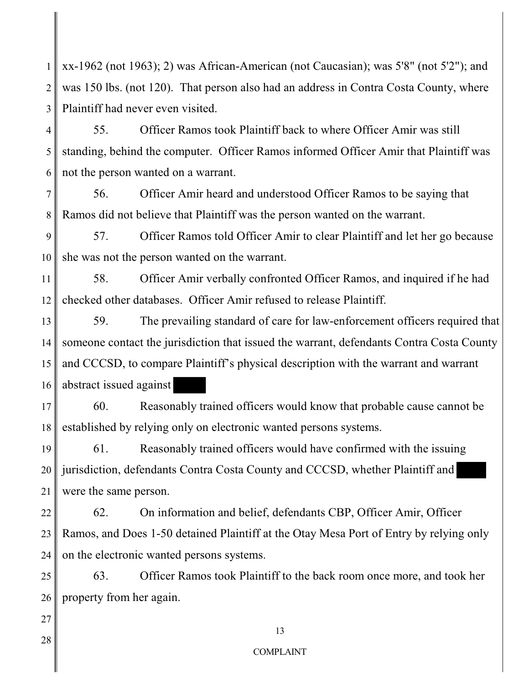1 2 3 xx-1962 (not 1963); 2) was African-American (not Caucasian); was 5'8" (not 5'2"); and was 150 lbs. (not 120). That person also had an address in Contra Costa County, where Plaintiff had never even visited.

4 5 6 55. Officer Ramos took Plaintiff back to where Officer Amir was still standing, behind the computer. Officer Ramos informed Officer Amir that Plaintiff was not the person wanted on a warrant.

7 8 56. Officer Amir heard and understood Officer Ramos to be saying that Ramos did not believe that Plaintiff was the person wanted on the warrant.

9 10 57. Officer Ramos told Officer Amir to clear Plaintiff and let her go because she was not the person wanted on the warrant.

11 12 58. Officer Amir verbally confronted Officer Ramos, and inquired if he had checked other databases. Officer Amir refused to release Plaintiff.

13 14 15 16 59. The prevailing standard of care for law-enforcement officers required that someone contact the jurisdiction that issued the warrant, defendants Contra Costa County and CCCSD, to compare Plaintiff's physical description with the warrant and warrant abstract issued against

17 18 60. Reasonably trained officers would know that probable cause cannot be established by relying only on electronic wanted persons systems.

19 20 21 61. Reasonably trained officers would have confirmed with the issuing jurisdiction, defendants Contra Costa County and CCCSD, whether Plaintiff and were the same person.

22 23 24 62. On information and belief, defendants CBP, Officer Amir, Officer Ramos, and Does 1-50 detained Plaintiff at the Otay Mesa Port of Entry by relying only on the electronic wanted persons systems.

25 26 63. Officer Ramos took Plaintiff to the back room once more, and took her property from her again.

27

28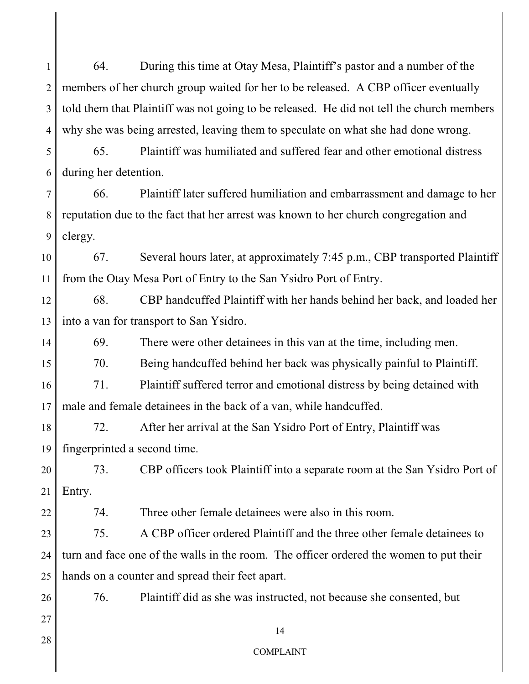1 2 3 4 64. During this time at Otay Mesa, Plaintiff's pastor and a number of the members of her church group waited for her to be released. A CBP officer eventually told them that Plaintiff was not going to be released. He did not tell the church members why she was being arrested, leaving them to speculate on what she had done wrong.

5 6 65. Plaintiff was humiliated and suffered fear and other emotional distress during her detention.

7 8 9 66. Plaintiff later suffered humiliation and embarrassment and damage to her reputation due to the fact that her arrest was known to her church congregation and clergy.

10 11 67. Several hours later, at approximately 7:45 p.m., CBP transported Plaintiff from the Otay Mesa Port of Entry to the San Ysidro Port of Entry.

12 13 68. CBP handcuffed Plaintiff with her hands behind her back, and loaded her into a van for transport to San Ysidro.

69. There were other detainees in this van at the time, including men.

70. Being handcuffed behind her back was physically painful to Plaintiff.

16 17 71. Plaintiff suffered terror and emotional distress by being detained with male and female detainees in the back of a van, while handcuffed.

18 19 72. After her arrival at the San Ysidro Port of Entry, Plaintiff was fingerprinted a second time.

20 21 73. CBP officers took Plaintiff into a separate room at the San Ysidro Port of Entry.

22

14

15

74. Three other female detainees were also in this room.

23 24 25 75. A CBP officer ordered Plaintiff and the three other female detainees to turn and face one of the walls in the room. The officer ordered the women to put their hands on a counter and spread their feet apart.

27

28

26

76. Plaintiff did as she was instructed, not because she consented, but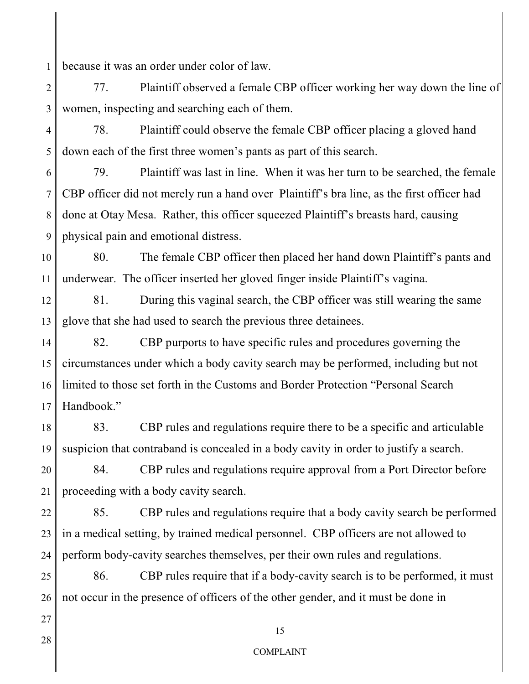1 because it was an order under color of law.

2 3 77. Plaintiff observed a female CBP officer working her way down the line of women, inspecting and searching each of them.

4 5 78. Plaintiff could observe the female CBP officer placing a gloved hand down each of the first three women's pants as part of this search.

6 7 8 9 79. Plaintiff was last in line. When it was her turn to be searched, the female CBP officer did not merely run a hand over Plaintiff's bra line, as the first officer had done at Otay Mesa. Rather, this officer squeezed Plaintiff's breasts hard, causing physical pain and emotional distress.

10 11 80. The female CBP officer then placed her hand down Plaintiff's pants and underwear. The officer inserted her gloved finger inside Plaintiff's vagina.

12 13 81. During this vaginal search, the CBP officer was still wearing the same glove that she had used to search the previous three detainees.

14 15 16 17 82. CBP purports to have specific rules and procedures governing the circumstances under which a body cavity search may be performed, including but not limited to those set forth in the Customs and Border Protection "Personal Search Handbook."

18 19 83. CBP rules and regulations require there to be a specific and articulable suspicion that contraband is concealed in a body cavity in order to justify a search.

20 21 84. CBP rules and regulations require approval from a Port Director before proceeding with a body cavity search.

22 23 24 85. CBP rules and regulations require that a body cavity search be performed in a medical setting, by trained medical personnel. CBP officers are not allowed to perform body-cavity searches themselves, per their own rules and regulations.

25 26 86. CBP rules require that if a body-cavity search is to be performed, it must not occur in the presence of officers of the other gender, and it must be done in

28

27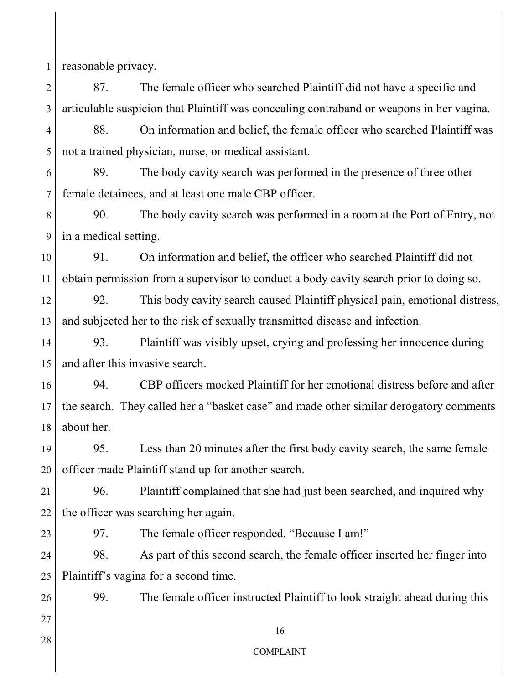1 reasonable privacy.

2 3 87. The female officer who searched Plaintiff did not have a specific and articulable suspicion that Plaintiff was concealing contraband or weapons in her vagina.

4 5 88. On information and belief, the female officer who searched Plaintiff was not a trained physician, nurse, or medical assistant.

6 7 89. The body cavity search was performed in the presence of three other female detainees, and at least one male CBP officer.

8 9 90. The body cavity search was performed in a room at the Port of Entry, not in a medical setting.

10 11 91. On information and belief, the officer who searched Plaintiff did not obtain permission from a supervisor to conduct a body cavity search prior to doing so.

12 13 92. This body cavity search caused Plaintiff physical pain, emotional distress, and subjected her to the risk of sexually transmitted disease and infection.

14 15 93. Plaintiff was visibly upset, crying and professing her innocence during and after this invasive search.

16 17 18 94. CBP officers mocked Plaintiff for her emotional distress before and after the search. They called her a "basket case" and made other similar derogatory comments about her.

19 20 95. Less than 20 minutes after the first body cavity search, the same female officer made Plaintiff stand up for another search.

21 22 96. Plaintiff complained that she had just been searched, and inquired why the officer was searching her again.

23

97. The female officer responded, "Because I am!"

24 25 98. As part of this second search, the female officer inserted her finger into Plaintiff's vagina for a second time.

99. The female officer instructed Plaintiff to look straight ahead during this

27 28

26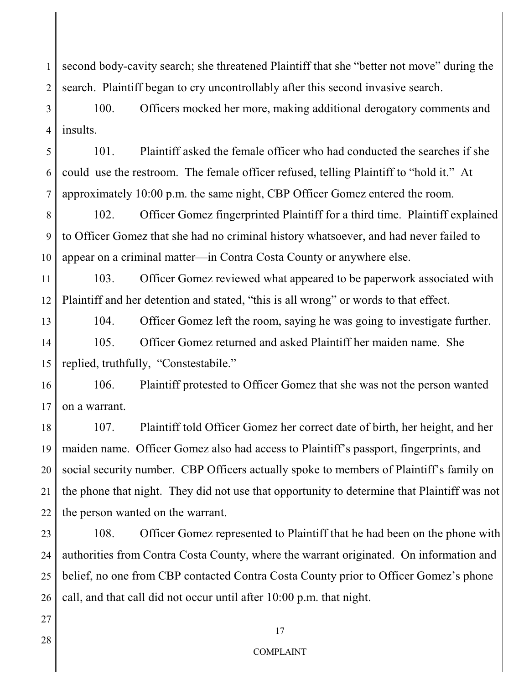1 2 second body-cavity search; she threatened Plaintiff that she "better not move" during the search. Plaintiff began to cry uncontrollably after this second invasive search.

3 4 100. Officers mocked her more, making additional derogatory comments and insults.

5 6 7 101. Plaintiff asked the female officer who had conducted the searches if she could use the restroom. The female officer refused, telling Plaintiff to "hold it." At approximately 10:00 p.m. the same night, CBP Officer Gomez entered the room.

8 9 10 102. Officer Gomez fingerprinted Plaintiff for a third time. Plaintiff explained to Officer Gomez that she had no criminal history whatsoever, and had never failed to appear on a criminal matter—in Contra Costa County or anywhere else.

11 12 103. Officer Gomez reviewed what appeared to be paperwork associated with Plaintiff and her detention and stated, "this is all wrong" or words to that effect.

13

104. Officer Gomez left the room, saying he was going to investigate further.

14 15 105. Officer Gomez returned and asked Plaintiff her maiden name. She replied, truthfully, "Constestabile."

16 17 106. Plaintiff protested to Officer Gomez that she was not the person wanted on a warrant.

18 19 20 21 22 107. Plaintiff told Officer Gomez her correct date of birth, her height, and her maiden name. Officer Gomez also had access to Plaintiff's passport, fingerprints, and social security number. CBP Officers actually spoke to members of Plaintiff's family on the phone that night. They did not use that opportunity to determine that Plaintiff was not the person wanted on the warrant.

23 24 25 26 108. Officer Gomez represented to Plaintiff that he had been on the phone with authorities from Contra Costa County, where the warrant originated. On information and belief, no one from CBP contacted Contra Costa County prior to Officer Gomez's phone call, and that call did not occur until after 10:00 p.m. that night.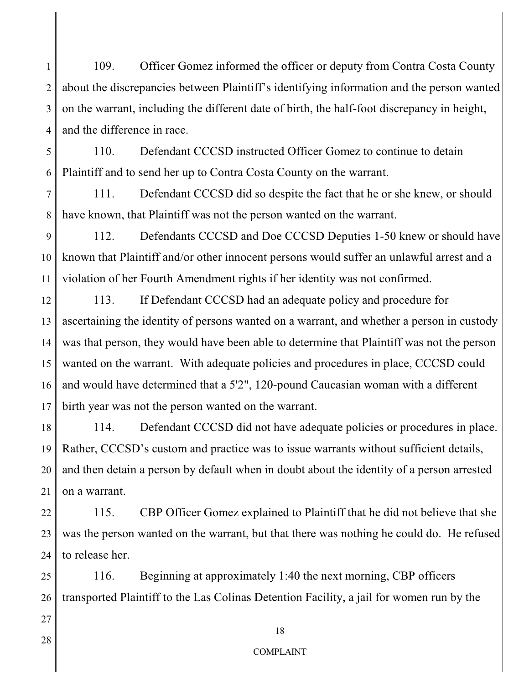1 2 3 4 109. Officer Gomez informed the officer or deputy from Contra Costa County about the discrepancies between Plaintiff's identifying information and the person wanted on the warrant, including the different date of birth, the half-foot discrepancy in height, and the difference in race.

5 6 110. Defendant CCCSD instructed Officer Gomez to continue to detain Plaintiff and to send her up to Contra Costa County on the warrant.

7 8 111. Defendant CCCSD did so despite the fact that he or she knew, or should have known, that Plaintiff was not the person wanted on the warrant.

9 10 11 112. Defendants CCCSD and Doe CCCSD Deputies 1-50 knew or should have known that Plaintiff and/or other innocent persons would suffer an unlawful arrest and a violation of her Fourth Amendment rights if her identity was not confirmed.

12 13 14 15 16 17 113. If Defendant CCCSD had an adequate policy and procedure for ascertaining the identity of persons wanted on a warrant, and whether a person in custody was that person, they would have been able to determine that Plaintiff was not the person wanted on the warrant. With adequate policies and procedures in place, CCCSD could and would have determined that a 5'2", 120-pound Caucasian woman with a different birth year was not the person wanted on the warrant.

18 19 20 21 114. Defendant CCCSD did not have adequate policies or procedures in place. Rather, CCCSD's custom and practice was to issue warrants without sufficient details, and then detain a person by default when in doubt about the identity of a person arrested on a warrant.

22 23 24 115. CBP Officer Gomez explained to Plaintiff that he did not believe that she was the person wanted on the warrant, but that there was nothing he could do. He refused to release her.

25 26 116. Beginning at approximately 1:40 the next morning, CBP officers transported Plaintiff to the Las Colinas Detention Facility, a jail for women run by the

28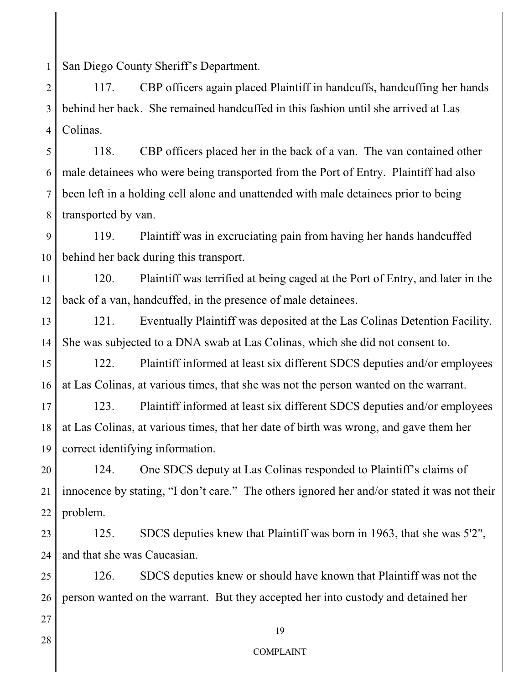1 San Diego County Sheriff's Department.

2 3 4 117. CBP officers again placed Plaintiff in handcuffs, handcuffing her hands behind her back. She remained handcuffed in this fashion until she arrived at Las Colinas.

5 6 7 8 118. CBP officers placed her in the back of a van. The van contained other male detainees who were being transported from the Port of Entry. Plaintiff had also been left in a holding cell alone and unattended with male detainees prior to being transported by van.

9 10 119. Plaintiff was in excruciating pain from having her hands handcuffed behind her back during this transport.

11 12 120. Plaintiff was terrified at being caged at the Port of Entry, and later in the back of a van, handcuffed, in the presence of male detainees.

13 14 121. Eventually Plaintiff was deposited at the Las Colinas Detention Facility. She was subjected to a DNA swab at Las Colinas, which she did not consent to.

15 16 122. Plaintiff informed at least six different SDCS deputies and/or employees at Las Colinas, at various times, that she was not the person wanted on the warrant.

17 18 19 123. Plaintiff informed at least six different SDCS deputies and/or employees at Las Colinas, at various times, that her date of birth was wrong, and gave them her correct identifying information.

20 21 22 124. One SDCS deputy at Las Colinas responded to Plaintiff's claims of innocence by stating, "I don't care." The others ignored her and/or stated it was not their problem.

23 24 125. SDCS deputies knew that Plaintiff was born in 1963, that she was 5'2", and that she was Caucasian.

25 26 126. SDCS deputies knew or should have known that Plaintiff was not the person wanted on the warrant. But they accepted her into custody and detained her

28

27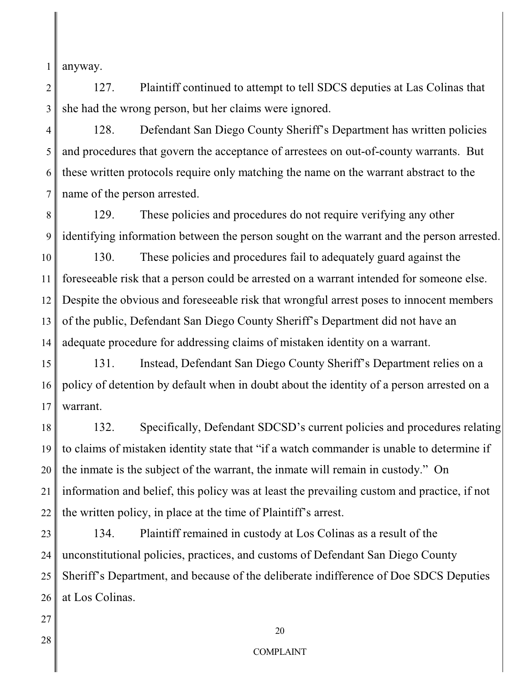1 anyway.

2 3 127. Plaintiff continued to attempt to tell SDCS deputies at Las Colinas that she had the wrong person, but her claims were ignored.

4 5 6 7 128. Defendant San Diego County Sheriff's Department has written policies and procedures that govern the acceptance of arrestees on out-of-county warrants. But these written protocols require only matching the name on the warrant abstract to the name of the person arrested.

8 9 129. These policies and procedures do not require verifying any other identifying information between the person sought on the warrant and the person arrested.

10 11 12 13 14 130. These policies and procedures fail to adequately guard against the foreseeable risk that a person could be arrested on a warrant intended for someone else. Despite the obvious and foreseeable risk that wrongful arrest poses to innocent members of the public, Defendant San Diego County Sheriff's Department did not have an adequate procedure for addressing claims of mistaken identity on a warrant.

15 16 17 131. Instead, Defendant San Diego County Sheriff's Department relies on a policy of detention by default when in doubt about the identity of a person arrested on a warrant.

18 19 20 21 22 132. Specifically, Defendant SDCSD's current policies and procedures relating to claims of mistaken identity state that "if a watch commander is unable to determine if the inmate is the subject of the warrant, the inmate will remain in custody." On information and belief, this policy was at least the prevailing custom and practice, if not the written policy, in place at the time of Plaintiff's arrest.

23 24 25 26 134. Plaintiff remained in custody at Los Colinas as a result of the unconstitutional policies, practices, and customs of Defendant San Diego County Sheriff's Department, and because of the deliberate indifference of Doe SDCS Deputies at Los Colinas.

28

27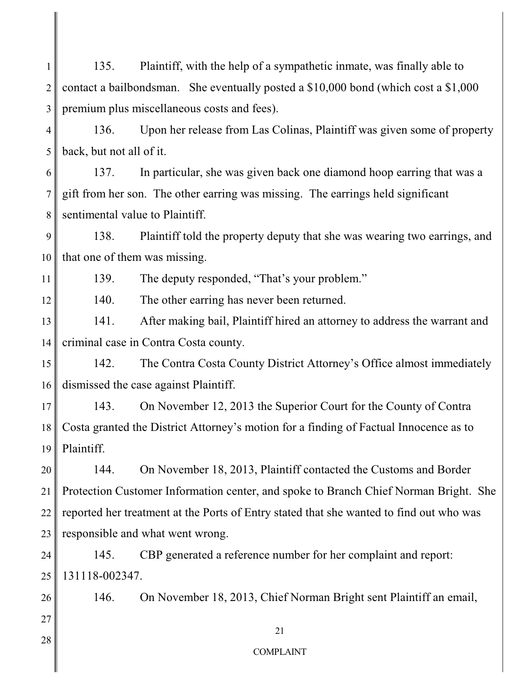1 2 3 135. Plaintiff, with the help of a sympathetic inmate, was finally able to contact a bailbondsman. She eventually posted a \$10,000 bond (which cost a \$1,000 premium plus miscellaneous costs and fees).

4 5 136. Upon her release from Las Colinas, Plaintiff was given some of property back, but not all of it.

6 7 8 137. In particular, she was given back one diamond hoop earring that was a gift from her son. The other earring was missing. The earrings held significant sentimental value to Plaintiff.

9 10 138. Plaintiff told the property deputy that she was wearing two earrings, and that one of them was missing.

139. The deputy responded, "That's your problem."

140. The other earring has never been returned.

13 14 141. After making bail, Plaintiff hired an attorney to address the warrant and criminal case in Contra Costa county.

15 16 142. The Contra Costa County District Attorney's Office almost immediately dismissed the case against Plaintiff.

17 18 19 143. On November 12, 2013 the Superior Court for the County of Contra Costa granted the District Attorney's motion for a finding of Factual Innocence as to Plaintiff.

20 21 22 23 144. On November 18, 2013, Plaintiff contacted the Customs and Border Protection Customer Information center, and spoke to Branch Chief Norman Bright. She reported her treatment at the Ports of Entry stated that she wanted to find out who was responsible and what went wrong.

24 25 145. CBP generated a reference number for her complaint and report: 131118-002347.

146. On November 18, 2013, Chief Norman Bright sent Plaintiff an email,

28

27

26

11

12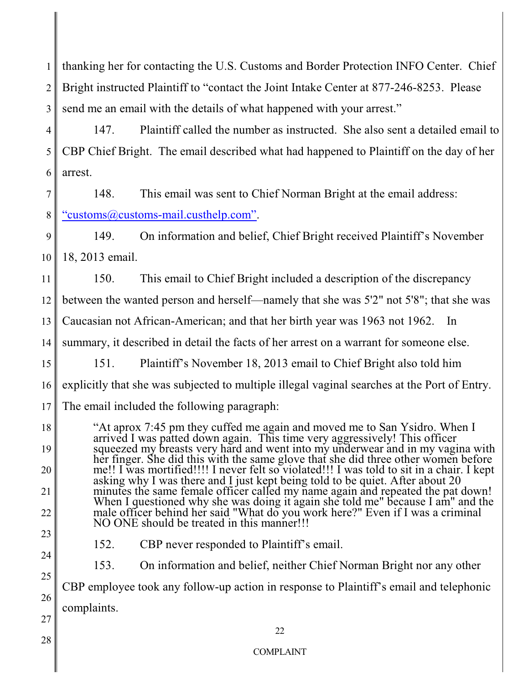| $\mathbf{1}$   | thanking her for contacting the U.S. Customs and Border Protection INFO Center. Chief                                                                                      |  |  |
|----------------|----------------------------------------------------------------------------------------------------------------------------------------------------------------------------|--|--|
| $\overline{2}$ | Bright instructed Plaintiff to "contact the Joint Intake Center at 877-246-8253. Please                                                                                    |  |  |
| 3              | send me an email with the details of what happened with your arrest."                                                                                                      |  |  |
| $\overline{4}$ | 147.<br>Plaintiff called the number as instructed. She also sent a detailed email to                                                                                       |  |  |
| 5              | CBP Chief Bright. The email described what had happened to Plaintiff on the day of her                                                                                     |  |  |
| 6              | arrest.                                                                                                                                                                    |  |  |
| 7              | 148.<br>This email was sent to Chief Norman Bright at the email address:                                                                                                   |  |  |
| 8              | "customs@customs-mail.custhelp.com".                                                                                                                                       |  |  |
| 9              | 149.<br>On information and belief, Chief Bright received Plaintiff's November                                                                                              |  |  |
| 10             | 18, 2013 email.                                                                                                                                                            |  |  |
| 11             | 150.<br>This email to Chief Bright included a description of the discrepancy                                                                                               |  |  |
| 12             | between the wanted person and herself—namely that she was 5'2" not 5'8"; that she was                                                                                      |  |  |
| 13             | Caucasian not African-American; and that her birth year was 1963 not 1962.<br>In                                                                                           |  |  |
| 14             | summary, it described in detail the facts of her arrest on a warrant for someone else.                                                                                     |  |  |
| 15             | Plaintiff's November 18, 2013 email to Chief Bright also told him<br>151.                                                                                                  |  |  |
| 16             | explicitly that she was subjected to multiple illegal vaginal searches at the Port of Entry.                                                                               |  |  |
| 17             | The email included the following paragraph:                                                                                                                                |  |  |
| 18             | "At aprox 7:45 pm they cuffed me again and moved me to San Ysidro. When I<br>arrived I was patted down again. This time very aggressively! This officer                    |  |  |
| 19             | squeezed my breasts very hard and went into my underwear and in my vagina with<br>her finger. She did this with the same glove that she did three other women before       |  |  |
| 20             | me!! I was mortified!!!! I never felt so violated!!! I was told to sit in a chair. I kept<br>asking why I was there and I just kept being told to be quiet. After about 20 |  |  |
| 21             | minutes the same female officer called my name again and repeated the pat down!<br>When I questioned why she was doing it again she told me" because I am" and the         |  |  |
| 22             | male officer behind her said "What do you work here?" Even if I was a criminal<br>NO ONE should be treated in this manner!!!                                               |  |  |
| 23             | 152.<br>CBP never responded to Plaintiff's email.                                                                                                                          |  |  |
| 24             | 153.<br>On information and belief, neither Chief Norman Bright nor any other                                                                                               |  |  |
| 25             | CBP employee took any follow-up action in response to Plaintiff's email and telephonic                                                                                     |  |  |
| 26             | complaints.                                                                                                                                                                |  |  |
| 27             | 22                                                                                                                                                                         |  |  |
| 28             | <b>COMPLAINT</b>                                                                                                                                                           |  |  |
|                |                                                                                                                                                                            |  |  |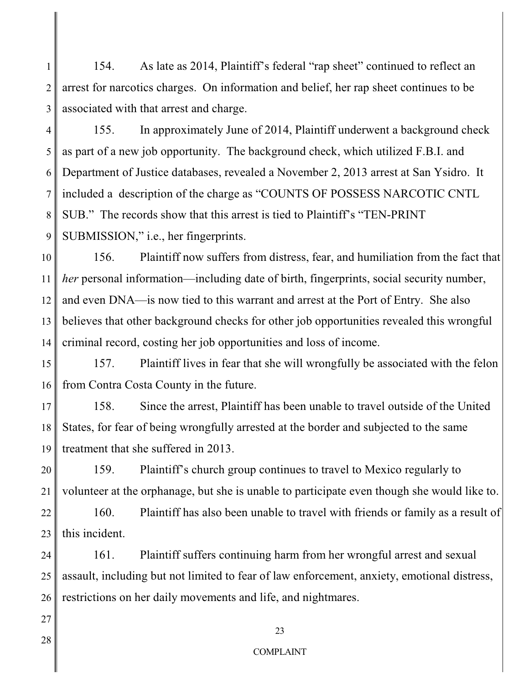1 2 3 154. As late as 2014, Plaintiff's federal "rap sheet" continued to reflect an arrest for narcotics charges. On information and belief, her rap sheet continues to be associated with that arrest and charge.

4 5 6 7 8 9 155. In approximately June of 2014, Plaintiff underwent a background check as part of a new job opportunity. The background check, which utilized F.B.I. and Department of Justice databases, revealed a November 2, 2013 arrest at San Ysidro. It included a description of the charge as "COUNTS OF POSSESS NARCOTIC CNTL SUB." The records show that this arrest is tied to Plaintiff's "TEN-PRINT SUBMISSION," i.e., her fingerprints.

10 11 12 13 14 156. Plaintiff now suffers from distress, fear, and humiliation from the fact that *her* personal information—including date of birth, fingerprints, social security number, and even DNA—is now tied to this warrant and arrest at the Port of Entry. She also believes that other background checks for other job opportunities revealed this wrongful criminal record, costing her job opportunities and loss of income.

15 16 157. Plaintiff lives in fear that she will wrongfully be associated with the felon from Contra Costa County in the future.

17 18 19 158. Since the arrest, Plaintiff has been unable to travel outside of the United States, for fear of being wrongfully arrested at the border and subjected to the same treatment that she suffered in 2013.

20 21 159. Plaintiff's church group continues to travel to Mexico regularly to volunteer at the orphanage, but she is unable to participate even though she would like to.

22 23 160. Plaintiff has also been unable to travel with friends or family as a result of this incident.

24 25 26 161. Plaintiff suffers continuing harm from her wrongful arrest and sexual assault, including but not limited to fear of law enforcement, anxiety, emotional distress, restrictions on her daily movements and life, and nightmares.

28

27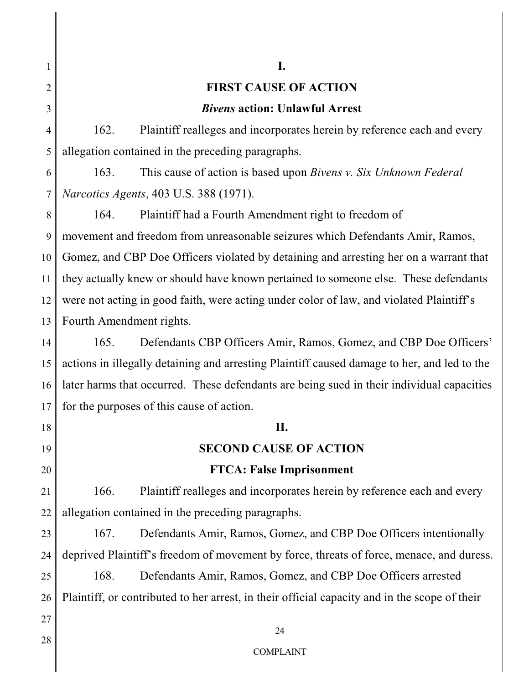# **FIRST CAUSE OF ACTION**

**I.**

#### *Bivens* **action: Unlawful Arrest**

162. Plaintiff realleges and incorporates herein by reference each and every allegation contained in the preceding paragraphs.

163. This cause of action is based upon *Bivens v. Six Unknown Federal Narcotics Agents*, 403 U.S. 388 (1971).

9 10 11 12 13 164. Plaintiff had a Fourth Amendment right to freedom of movement and freedom from unreasonable seizures which Defendants Amir, Ramos, Gomez, and CBP Doe Officers violated by detaining and arresting her on a warrant that they actually knew or should have known pertained to someone else. These defendants were not acting in good faith, were acting under color of law, and violated Plaintiff's Fourth Amendment rights.

14 15 16 17 165. Defendants CBP Officers Amir, Ramos, Gomez, and CBP Doe Officers' actions in illegally detaining and arresting Plaintiff caused damage to her, and led to the later harms that occurred. These defendants are being sued in their individual capacities for the purposes of this cause of action.

# **II.**

## **SECOND CAUSE OF ACTION**

#### **FTCA: False Imprisonment**

21 22 166. Plaintiff realleges and incorporates herein by reference each and every allegation contained in the preceding paragraphs.

23 24 167. Defendants Amir, Ramos, Gomez, and CBP Doe Officers intentionally deprived Plaintiff's freedom of movement by force, threats of force, menace, and duress.

25 26 168. Defendants Amir, Ramos, Gomez, and CBP Doe Officers arrested Plaintiff, or contributed to her arrest, in their official capacity and in the scope of their

27

18

19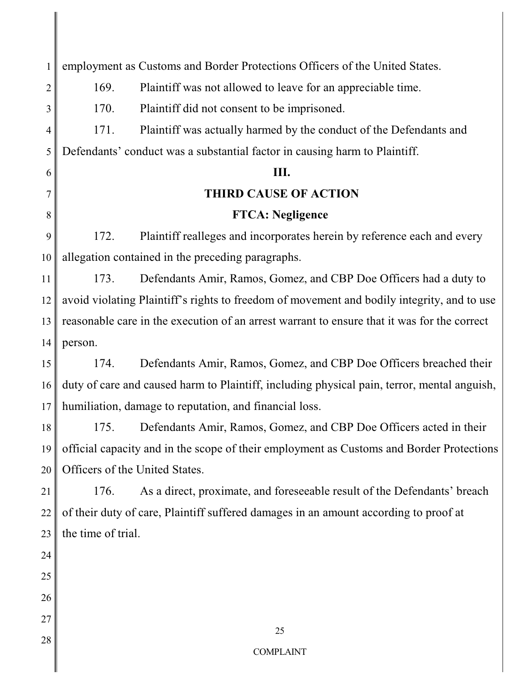| 1              | employment as Customs and Border Protections Officers of the United States.                 |  |  |
|----------------|---------------------------------------------------------------------------------------------|--|--|
| $\overline{2}$ | 169.<br>Plaintiff was not allowed to leave for an appreciable time.                         |  |  |
| 3              | 170.<br>Plaintiff did not consent to be imprisoned.                                         |  |  |
| $\overline{4}$ | Plaintiff was actually harmed by the conduct of the Defendants and<br>171.                  |  |  |
| 5              | Defendants' conduct was a substantial factor in causing harm to Plaintiff.                  |  |  |
| 6              | Ш.                                                                                          |  |  |
| 7              | <b>THIRD CAUSE OF ACTION</b>                                                                |  |  |
| 8              | <b>FTCA: Negligence</b>                                                                     |  |  |
| 9              | Plaintiff realleges and incorporates herein by reference each and every<br>172.             |  |  |
| 10             | allegation contained in the preceding paragraphs.                                           |  |  |
| 11             | 173.<br>Defendants Amir, Ramos, Gomez, and CBP Doe Officers had a duty to                   |  |  |
| 12             | avoid violating Plaintiff's rights to freedom of movement and bodily integrity, and to use  |  |  |
| 13             | reasonable care in the execution of an arrest warrant to ensure that it was for the correct |  |  |
| 14             | person.                                                                                     |  |  |
| 15             | 174.<br>Defendants Amir, Ramos, Gomez, and CBP Doe Officers breached their                  |  |  |
| 16             | duty of care and caused harm to Plaintiff, including physical pain, terror, mental anguish, |  |  |
| 17             | humiliation, damage to reputation, and financial loss.                                      |  |  |
| 18             | 175.<br>Defendants Amir, Ramos, Gomez, and CBP Doe Officers acted in their                  |  |  |
| 19             | official capacity and in the scope of their employment as Customs and Border Protections    |  |  |
| 20             | Officers of the United States.                                                              |  |  |
| 21             | As a direct, proximate, and foreseeable result of the Defendants' breach<br>176.            |  |  |
| 22             | of their duty of care, Plaintiff suffered damages in an amount according to proof at        |  |  |
| 23             | the time of trial.                                                                          |  |  |
| 24             |                                                                                             |  |  |
| 25             |                                                                                             |  |  |
| 26             |                                                                                             |  |  |
| 27             |                                                                                             |  |  |
| 28             | 25                                                                                          |  |  |
|                | <b>COMPLAINT</b>                                                                            |  |  |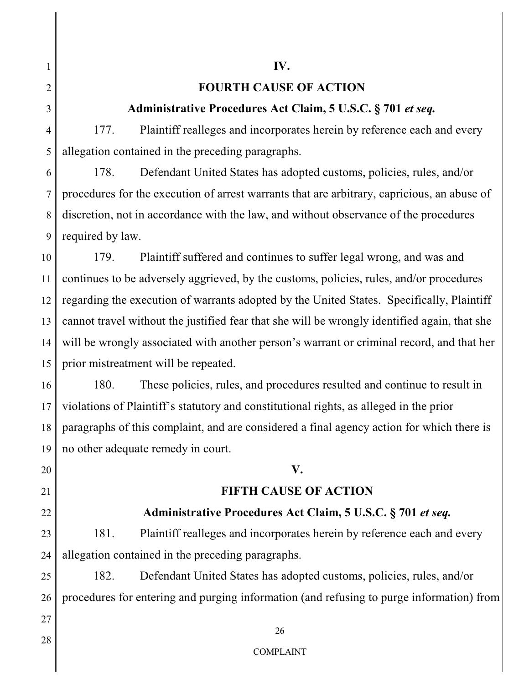1

2

3

4

5

# **FOURTH CAUSE OF ACTION**

**IV.**

# **Administrative Procedures Act Claim, 5 U.S.C. § 701** *et seq.*

177. Plaintiff realleges and incorporates herein by reference each and every allegation contained in the preceding paragraphs.

6 7 8 9 178. Defendant United States has adopted customs, policies, rules, and/or procedures for the execution of arrest warrants that are arbitrary, capricious, an abuse of discretion, not in accordance with the law, and without observance of the procedures required by law.

10 11 12 13 14 15 179. Plaintiff suffered and continues to suffer legal wrong, and was and continues to be adversely aggrieved, by the customs, policies, rules, and/or procedures regarding the execution of warrants adopted by the United States. Specifically, Plaintiff cannot travel without the justified fear that she will be wrongly identified again, that she will be wrongly associated with another person's warrant or criminal record, and that her prior mistreatment will be repeated.

16 17 18 19 180. These policies, rules, and procedures resulted and continue to result in violations of Plaintiff's statutory and constitutional rights, as alleged in the prior paragraphs of this complaint, and are considered a final agency action for which there is no other adequate remedy in court.

# **V.**

# **FIFTH CAUSE OF ACTION**

# **Administrative Procedures Act Claim, 5 U.S.C. § 701** *et seq.*

23 24 181. Plaintiff realleges and incorporates herein by reference each and every allegation contained in the preceding paragraphs.

25 26 182. Defendant United States has adopted customs, policies, rules, and/or procedures for entering and purging information (and refusing to purge information) from

28

27

20

21

22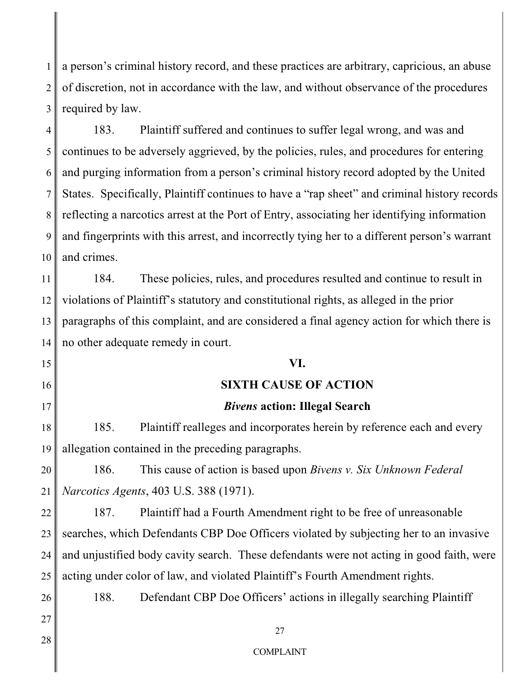1 2 3 a person's criminal history record, and these practices are arbitrary, capricious, an abuse of discretion, not in accordance with the law, and without observance of the procedures required by law.

4 5 6 7 8 9 10 183. Plaintiff suffered and continues to suffer legal wrong, and was and continues to be adversely aggrieved, by the policies, rules, and procedures for entering and purging information from a person's criminal history record adopted by the United States. Specifically, Plaintiff continues to have a "rap sheet" and criminal history records reflecting a narcotics arrest at the Port of Entry, associating her identifying information and fingerprints with this arrest, and incorrectly tying her to a different person's warrant and crimes.

11 12 13 14 184. These policies, rules, and procedures resulted and continue to result in violations of Plaintiff's statutory and constitutional rights, as alleged in the prior paragraphs of this complaint, and are considered a final agency action for which there is no other adequate remedy in court.

#### **VI.**

## **SIXTH CAUSE OF ACTION**

# *Bivens* **action: Illegal Search**

18 185. Plaintiff realleges and incorporates herein by reference each and every allegation contained in the preceding paragraphs.

20 21 186. This cause of action is based upon *Bivens v. Six Unknown Federal Narcotics Agents*, 403 U.S. 388 (1971).

22 23 24 25 187. Plaintiff had a Fourth Amendment right to be free of unreasonable searches, which Defendants CBP Doe Officers violated by subjecting her to an invasive and unjustified body cavity search. These defendants were not acting in good faith, were acting under color of law, and violated Plaintiff's Fourth Amendment rights.

188. Defendant CBP Doe Officers' actions in illegally searching Plaintiff

27 28

26

15

16

17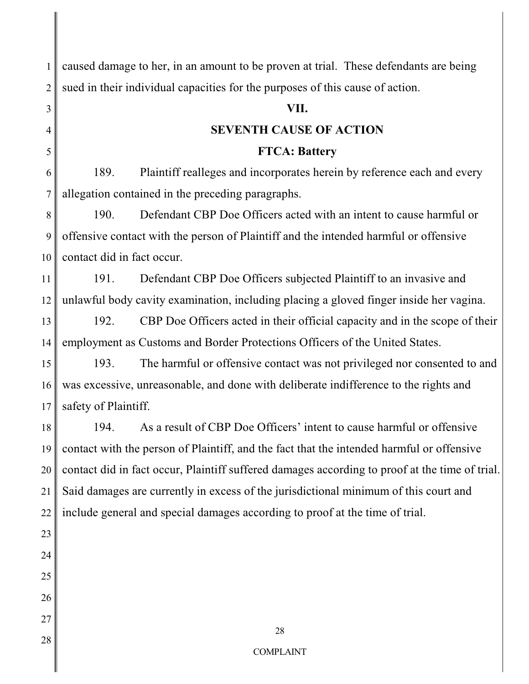1 2 caused damage to her, in an amount to be proven at trial.These defendants are being sued in their individual capacities for the purposes of this cause of action.

#### **VII.**

# **SEVENTH CAUSE OF ACTION**

#### **FTCA: Battery**

6 7 189. Plaintiff realleges and incorporates herein by reference each and every allegation contained in the preceding paragraphs.

8 9 10 190. Defendant CBP Doe Officers acted with an intent to cause harmful or offensive contact with the person of Plaintiff and the intended harmful or offensive contact did in fact occur.

11 12 191. Defendant CBP Doe Officers subjected Plaintiff to an invasive and unlawful body cavity examination, including placing a gloved finger inside her vagina.

13 14 192. CBP Doe Officers acted in their official capacity and in the scope of their employment as Customs and Border Protections Officers of the United States.

15 16 17 193. The harmful or offensive contact was not privileged nor consented to and was excessive, unreasonable, and done with deliberate indifference to the rights and safety of Plaintiff.

18 19 20 21 22 194. As a result of CBP Doe Officers' intent to cause harmful or offensive contact with the person of Plaintiff, and the fact that the intended harmful or offensive contact did in fact occur, Plaintiff suffered damages according to proof at the time of trial. Said damages are currently in excess of the jurisdictional minimum of this court and include general and special damages according to proof at the time of trial.

26 27 28

23

24

25

3

4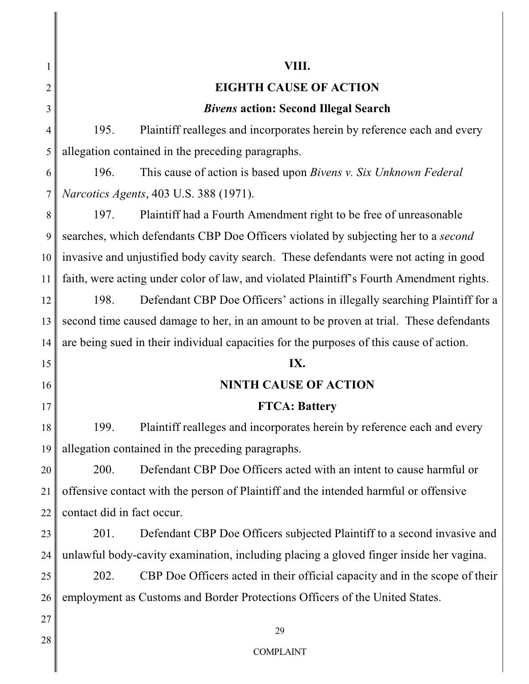#### **VIII.**

# **EIGHTH CAUSE OF ACTION**

# *Bivens* **action: Second Illegal Search**

195. Plaintiff realleges and incorporates herein by reference each and every allegation contained in the preceding paragraphs.

196. This cause of action is based upon *Bivens v. Six Unknown Federal Narcotics Agents*, 403 U.S. 388 (1971).

197. Plaintiff had a Fourth Amendment right to be free of unreasonable searches, which defendants CBP Doe Officers violated by subjecting her to a *second* invasive and unjustified body cavity search. These defendants were not acting in good faith, were acting under color of law, and violated Plaintiff's Fourth Amendment rights.

198. Defendant CBP Doe Officers' actions in illegally searching Plaintiff for a second time caused damage to her, in an amount to be proven at trial. These defendants are being sued in their individual capacities for the purposes of this cause of action.

## **IX.**

# **NINTH CAUSE OF ACTION**

## **FTCA: Battery**

199. Plaintiff realleges and incorporates herein by reference each and every allegation contained in the preceding paragraphs.

200. Defendant CBP Doe Officers acted with an intent to cause harmful or offensive contact with the person of Plaintiff and the intended harmful or offensive contact did in fact occur.

201. Defendant CBP Doe Officers subjected Plaintiff to a second invasive and unlawful body-cavity examination, including placing a gloved finger inside her vagina.

202. CBP Doe Officers acted in their official capacity and in the scope of their employment as Customs and Border Protections Officers of the United States.

28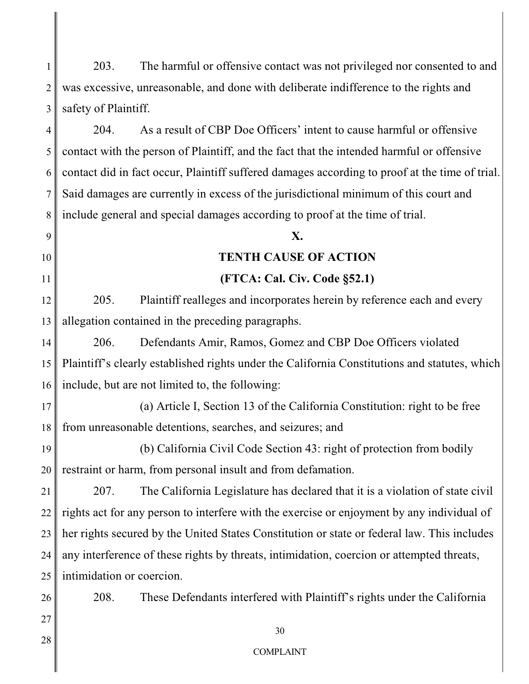1 2 3 203. The harmful or offensive contact was not privileged nor consented to and was excessive, unreasonable, and done with deliberate indifference to the rights and safety of Plaintiff.

4 5 6 7 8 204. As a result of CBP Doe Officers' intent to cause harmful or offensive contact with the person of Plaintiff, and the fact that the intended harmful or offensive contact did in fact occur, Plaintiff suffered damages according to proof at the time of trial. Said damages are currently in excess of the jurisdictional minimum of this court and include general and special damages according to proof at the time of trial.

#### **X.**

#### **TENTH CAUSE OF ACTION**

## **(FTCA: Cal. Civ. Code §52.1)**

12 13 205. Plaintiff realleges and incorporates herein by reference each and every allegation contained in the preceding paragraphs.

14 15 16 206. Defendants Amir, Ramos, Gomez and CBP Doe Officers violated Plaintiff's clearly established rights under the California Constitutions and statutes, which include, but are not limited to, the following:

17 18 (a) Article I, Section 13 of the California Constitution: right to be free from unreasonable detentions, searches, and seizures; and

19 20 (b) California Civil Code Section 43: right of protection from bodily restraint or harm, from personal insult and from defamation.

21 22 23 24 25 207. The California Legislature has declared that it is a violation of state civil rights act for any person to interfere with the exercise or enjoyment by any individual of her rights secured by the United States Constitution or state or federal law. This includes any interference of these rights by threats, intimidation, coercion or attempted threats, intimidation or coercion.

208. These Defendants interfered with Plaintiff's rights under the California

28

26

27

9

10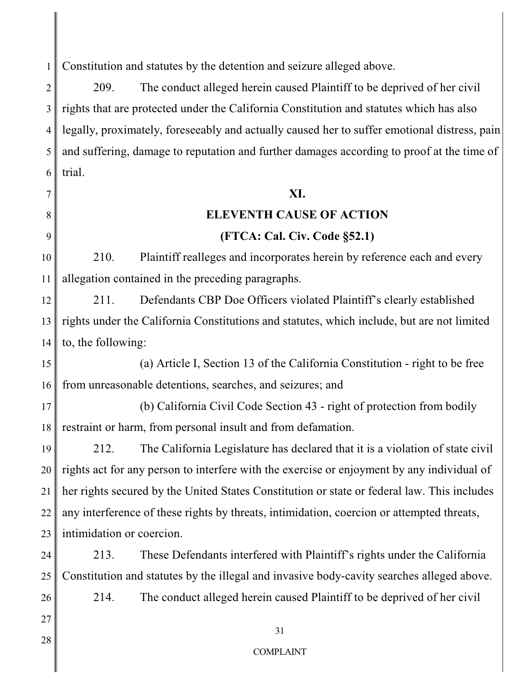1 Constitution and statutes by the detention and seizure alleged above.

2 3 4 5 6 209. The conduct alleged herein caused Plaintiff to be deprived of her civil rights that are protected under the California Constitution and statutes which has also legally, proximately, foreseeably and actually caused her to suffer emotional distress, pain and suffering, damage to reputation and further damages according to proof at the time of trial.

#### **XI.**

#### **ELEVENTH CAUSE OF ACTION**

#### **(FTCA: Cal. Civ. Code §52.1)**

210. Plaintiff realleges and incorporates herein by reference each and every allegation contained in the preceding paragraphs.

12 13 14 211. Defendants CBP Doe Officers violated Plaintiff's clearly established rights under the California Constitutions and statutes, which include, but are not limited to, the following:

15 16 (a) Article I, Section 13 of the California Constitution - right to be free from unreasonable detentions, searches, and seizures; and

17 18 (b) California Civil Code Section 43 - right of protection from bodily restraint or harm, from personal insult and from defamation.

19 20 21 22 23 212. The California Legislature has declared that it is a violation of state civil rights act for any person to interfere with the exercise or enjoyment by any individual of her rights secured by the United States Constitution or state or federal law. This includes any interference of these rights by threats, intimidation, coercion or attempted threats, intimidation or coercion.

24 25 213. These Defendants interfered with Plaintiff's rights under the California Constitution and statutes by the illegal and invasive body-cavity searches alleged above.

214. The conduct alleged herein caused Plaintiff to be deprived of her civil

27 28

26

7

8

9

10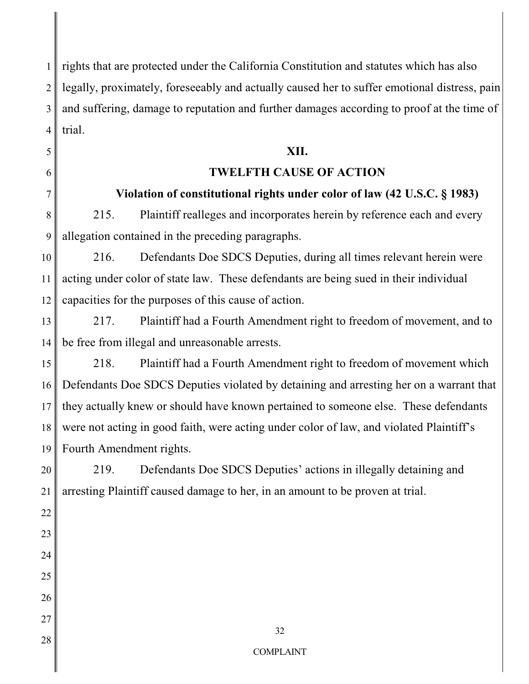1 2 3 4 rights that are protected under the California Constitution and statutes which has also legally, proximately, foreseeably and actually caused her to suffer emotional distress, pain and suffering, damage to reputation and further damages according to proof at the time of trial.

# **XII.**

# **TWELFTH CAUSE OF ACTION**

# **Violation of constitutional rights under color of law (42 U.S.C. § 1983)**

8 9 215. Plaintiff realleges and incorporates herein by reference each and every allegation contained in the preceding paragraphs.

5

6

7

20

21

22

23

24

25

26

27

28

10 11 12 216. Defendants Doe SDCS Deputies, during all times relevant herein were acting under color of state law. These defendants are being sued in their individual capacities for the purposes of this cause of action.

13 14 217. Plaintiff had a Fourth Amendment right to freedom of movement, and to be free from illegal and unreasonable arrests.

15 16 17 18 19 218. Plaintiff had a Fourth Amendment right to freedom of movement which Defendants Doe SDCS Deputies violated by detaining and arresting her on a warrant that they actually knew or should have known pertained to someone else. These defendants were not acting in good faith, were acting under color of law, and violated Plaintiff's Fourth Amendment rights.

219. Defendants Doe SDCS Deputies' actions in illegally detaining and arresting Plaintiff caused damage to her, in an amount to be proven at trial.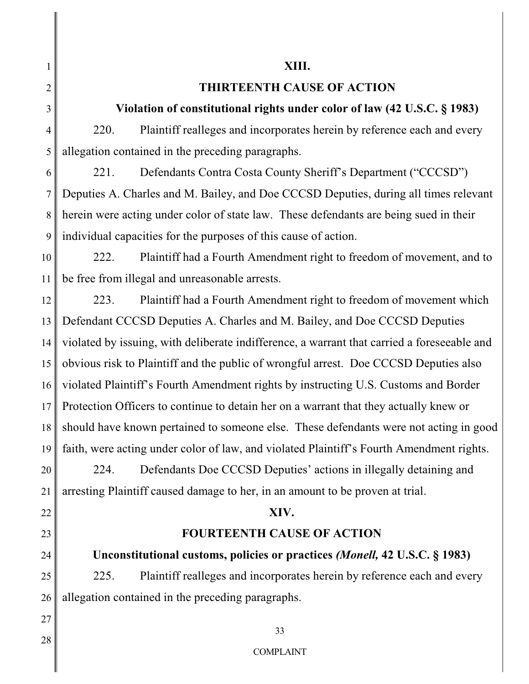1

2

3

4

5

# **XIII.**

# **THIRTEENTH CAUSE OF ACTION**

# **Violation of constitutional rights under color of law (42 U.S.C. § 1983)**

220. Plaintiff realleges and incorporates herein by reference each and every allegation contained in the preceding paragraphs.

6 7 8 9 221. Defendants Contra Costa County Sheriff's Department ("CCCSD") Deputies A. Charles and M. Bailey, and Doe CCCSD Deputies, during all times relevant herein were acting under color of state law. These defendants are being sued in their individual capacities for the purposes of this cause of action.

10 11 222. Plaintiff had a Fourth Amendment right to freedom of movement, and to be free from illegal and unreasonable arrests.

12 13 14 15 16 17 18 19 20 223. Plaintiff had a Fourth Amendment right to freedom of movement which Defendant CCCSD Deputies A. Charles and M. Bailey, and Doe CCCSD Deputies violated by issuing, with deliberate indifference, a warrant that carried a foreseeable and obvious risk to Plaintiff and the public of wrongful arrest. Doe CCCSD Deputies also violated Plaintiff's Fourth Amendment rights by instructing U.S. Customs and Border Protection Officers to continue to detain her on a warrant that they actually knew or should have known pertained to someone else. These defendants were not acting in good faith, were acting under color of law, and violated Plaintiff's Fourth Amendment rights. 224. Defendants Doe CCCSD Deputies' actions in illegally detaining and

arresting Plaintiff caused damage to her, in an amount to be proven at trial.

# **XIV.**

# **FOURTEENTH CAUSE OF ACTION**

**Unconstitutional customs, policies or practices** *(Monell,* **42 U.S.C. § 1983)**

25 26 225. Plaintiff realleges and incorporates herein by reference each and every allegation contained in the preceding paragraphs.

28

27

21

22

23

24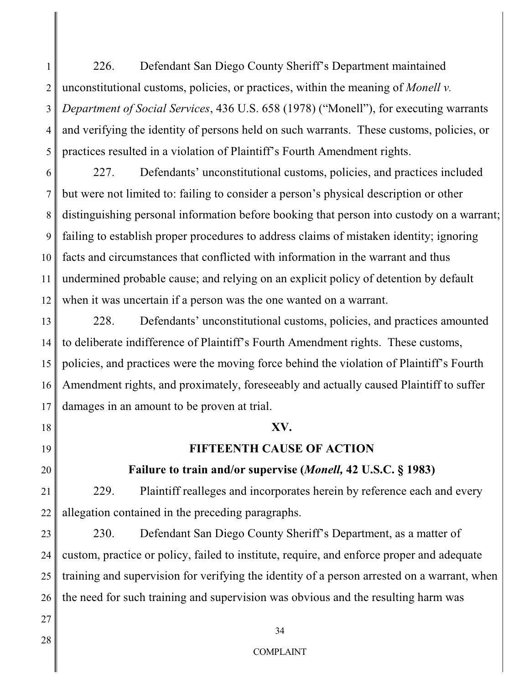1 2 3 4 5 226. Defendant San Diego County Sheriff's Department maintained unconstitutional customs, policies, or practices, within the meaning of *Monell v. Department of Social Services*, 436 U.S. 658 (1978) ("Monell"), for executing warrants and verifying the identity of persons held on such warrants. These customs, policies, or practices resulted in a violation of Plaintiff's Fourth Amendment rights.

6 7 8 9 10 11 12 227. Defendants' unconstitutional customs, policies, and practices included but were not limited to: failing to consider a person's physical description or other distinguishing personal information before booking that person into custody on a warrant; failing to establish proper procedures to address claims of mistaken identity; ignoring facts and circumstances that conflicted with information in the warrant and thus undermined probable cause; and relying on an explicit policy of detention by default when it was uncertain if a person was the one wanted on a warrant.

13 14 15 16 17 228. Defendants' unconstitutional customs, policies, and practices amounted to deliberate indifference of Plaintiff's Fourth Amendment rights. These customs, policies, and practices were the moving force behind the violation of Plaintiff's Fourth Amendment rights, and proximately, foreseeably and actually caused Plaintiff to suffer damages in an amount to be proven at trial.

## **XV.**

## **FIFTEENTH CAUSE OF ACTION**

**Failure to train and/or supervise (***Monell,* **42 U.S.C. § 1983)**

229. Plaintiff realleges and incorporates herein by reference each and every allegation contained in the preceding paragraphs.

23 24 25 26 230. Defendant San Diego County Sheriff's Department, as a matter of custom, practice or policy, failed to institute, require, and enforce proper and adequate training and supervision for verifying the identity of a person arrested on a warrant, when the need for such training and supervision was obvious and the resulting harm was

28

27

18

19

20

21

22

34

#### COMPLAINT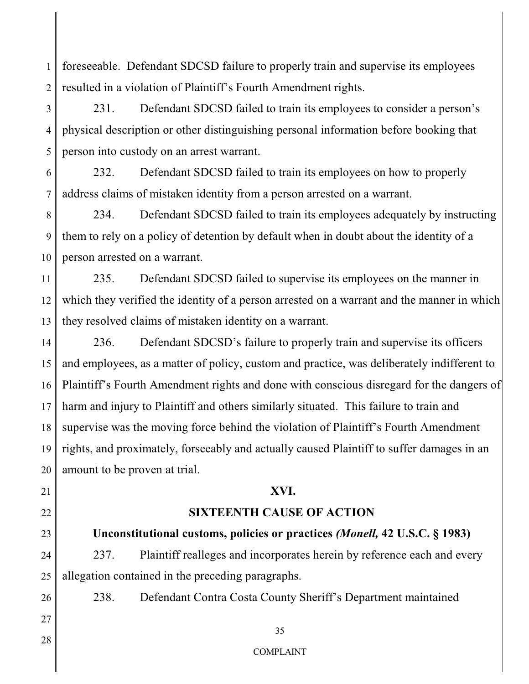1 2 foreseeable. Defendant SDCSD failure to properly train and supervise its employees resulted in a violation of Plaintiff's Fourth Amendment rights.

3 4 5 231. Defendant SDCSD failed to train its employees to consider a person's physical description or other distinguishing personal information before booking that person into custody on an arrest warrant.

6 7 232. Defendant SDCSD failed to train its employees on how to properly address claims of mistaken identity from a person arrested on a warrant.

8 9 10 234. Defendant SDCSD failed to train its employees adequately by instructing them to rely on a policy of detention by default when in doubt about the identity of a person arrested on a warrant.

11 12 13 235. Defendant SDCSD failed to supervise its employees on the manner in which they verified the identity of a person arrested on a warrant and the manner in which they resolved claims of mistaken identity on a warrant.

14 15 16 17 18 19 20 236. Defendant SDCSD's failure to properly train and supervise its officers and employees, as a matter of policy, custom and practice, was deliberately indifferent to Plaintiff's Fourth Amendment rights and done with conscious disregard for the dangers of harm and injury to Plaintiff and others similarly situated. This failure to train and supervise was the moving force behind the violation of Plaintiff's Fourth Amendment rights, and proximately, forseeably and actually caused Plaintiff to suffer damages in an amount to be proven at trial.

# **XVI.**

# **SIXTEENTH CAUSE OF ACTION**

**Unconstitutional customs, policies or practices** *(Monell,* **42 U.S.C. § 1983)**

237. Plaintiff realleges and incorporates herein by reference each and every allegation contained in the preceding paragraphs.

238. Defendant Contra Costa County Sheriff's Department maintained

28

21

22

23

24

25

26

27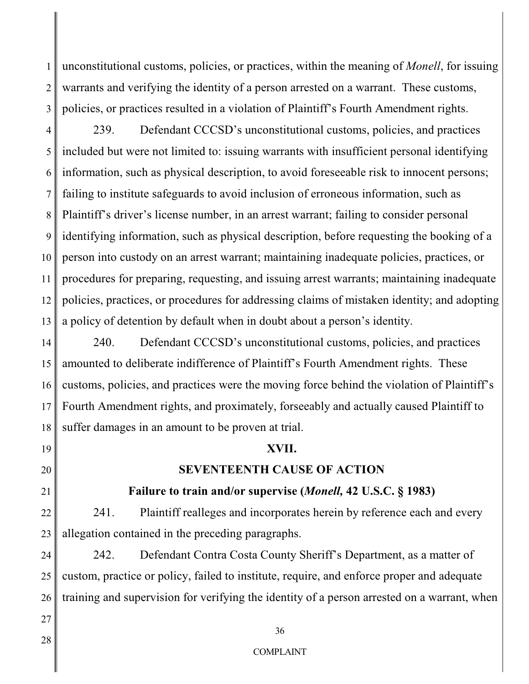1 2 3 unconstitutional customs, policies, or practices, within the meaning of *Monell*, for issuing warrants and verifying the identity of a person arrested on a warrant. These customs, policies, or practices resulted in a violation of Plaintiff's Fourth Amendment rights.

4 5 6 7 8 9 10 11 12 13 239. Defendant CCCSD's unconstitutional customs, policies, and practices included but were not limited to: issuing warrants with insufficient personal identifying information, such as physical description, to avoid foreseeable risk to innocent persons; failing to institute safeguards to avoid inclusion of erroneous information, such as Plaintiff's driver's license number, in an arrest warrant; failing to consider personal identifying information, such as physical description, before requesting the booking of a person into custody on an arrest warrant; maintaining inadequate policies, practices, or procedures for preparing, requesting, and issuing arrest warrants; maintaining inadequate policies, practices, or procedures for addressing claims of mistaken identity; and adopting a policy of detention by default when in doubt about a person's identity.

14 15 16 17 18 240. Defendant CCCSD's unconstitutional customs, policies, and practices amounted to deliberate indifference of Plaintiff's Fourth Amendment rights. These customs, policies, and practices were the moving force behind the violation of Plaintiff's Fourth Amendment rights, and proximately, forseeably and actually caused Plaintiff to suffer damages in an amount to be proven at trial.

#### **XVII.**

# **SEVENTEENTH CAUSE OF ACTION**

# **Failure to train and/or supervise (***Monell,* **42 U.S.C. § 1983)**

22 241. Plaintiff realleges and incorporates herein by reference each and every allegation contained in the preceding paragraphs.

24 25 26 242. Defendant Contra Costa County Sheriff's Department, as a matter of custom, practice or policy, failed to institute, require, and enforce proper and adequate training and supervision for verifying the identity of a person arrested on a warrant, when

28

27

19

20

21

23

## 36

#### COMPLAINT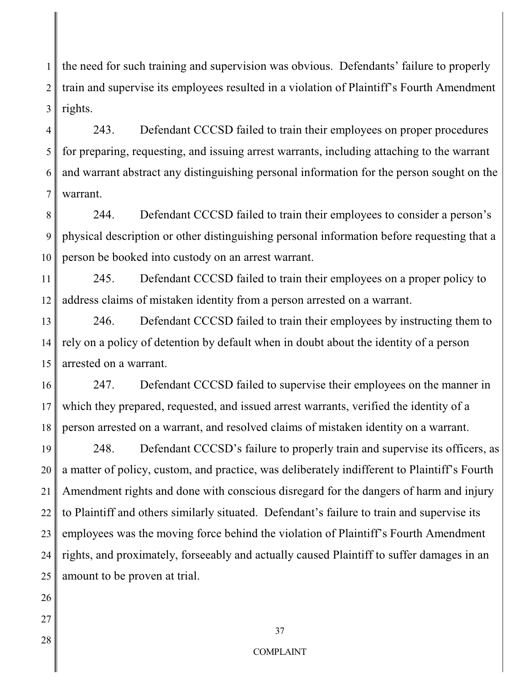1 2 3 the need for such training and supervision was obvious. Defendants' failure to properly train and supervise its employees resulted in a violation of Plaintiff's Fourth Amendment rights.

4 5 6 7 243. Defendant CCCSD failed to train their employees on proper procedures for preparing, requesting, and issuing arrest warrants, including attaching to the warrant and warrant abstract any distinguishing personal information for the person sought on the warrant.

8 9 10 244. Defendant CCCSD failed to train their employees to consider a person's physical description or other distinguishing personal information before requesting that a person be booked into custody on an arrest warrant.

11 12 245. Defendant CCCSD failed to train their employees on a proper policy to address claims of mistaken identity from a person arrested on a warrant.

13 14 15 246. Defendant CCCSD failed to train their employees by instructing them to rely on a policy of detention by default when in doubt about the identity of a person arrested on a warrant.

16 17 18 247. Defendant CCCSD failed to supervise their employees on the manner in which they prepared, requested, and issued arrest warrants, verified the identity of a person arrested on a warrant, and resolved claims of mistaken identity on a warrant.

19 20 21 22 23 24 25 248. Defendant CCCSD's failure to properly train and supervise its officers, as a matter of policy, custom, and practice, was deliberately indifferent to Plaintiff's Fourth Amendment rights and done with conscious disregard for the dangers of harm and injury to Plaintiff and others similarly situated. Defendant's failure to train and supervise its employees was the moving force behind the violation of Plaintiff's Fourth Amendment rights, and proximately, forseeably and actually caused Plaintiff to suffer damages in an amount to be proven at trial.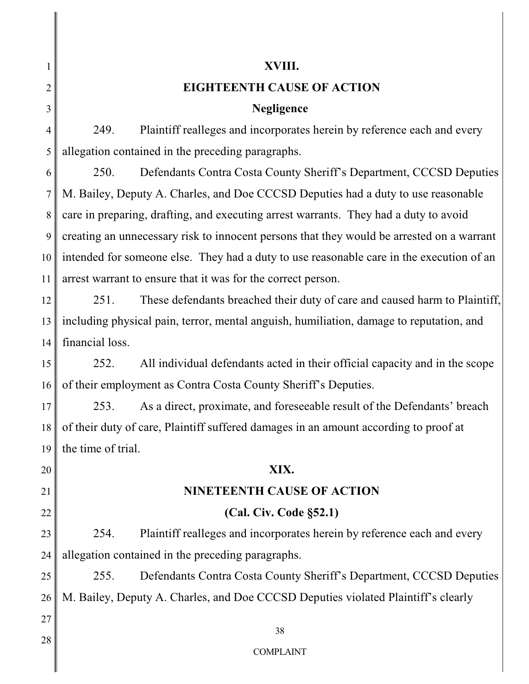1 2 3 4 5 6 7 8 9 10 11 12 13 14 15 16 17 18 19 20 21 22 23 24 25 26 27 28 **XVIII. EIGHTEENTH CAUSE OF ACTION Negligence**  249. Plaintiff realleges and incorporates herein by reference each and every allegation contained in the preceding paragraphs. 250. Defendants Contra Costa County Sheriff's Department, CCCSD Deputies M. Bailey, Deputy A. Charles, and Doe CCCSD Deputies had a duty to use reasonable care in preparing, drafting, and executing arrest warrants. They had a duty to avoid creating an unnecessary risk to innocent persons that they would be arrested on a warrant intended for someone else. They had a duty to use reasonable care in the execution of an arrest warrant to ensure that it was for the correct person. 251. These defendants breached their duty of care and caused harm to Plaintiff, including physical pain, terror, mental anguish, humiliation, damage to reputation, and financial loss. 252. All individual defendants acted in their official capacity and in the scope of their employment as Contra Costa County Sheriff's Deputies. 253. As a direct, proximate, and foreseeable result of the Defendants' breach of their duty of care, Plaintiff suffered damages in an amount according to proof at the time of trial. **XIX. NINETEENTH CAUSE OF ACTION (Cal. Civ. Code §52.1)** 254. Plaintiff realleges and incorporates herein by reference each and every allegation contained in the preceding paragraphs. 255. Defendants Contra Costa County Sheriff's Department, CCCSD Deputies M. Bailey, Deputy A. Charles, and Doe CCCSD Deputies violated Plaintiff's clearly 38 COMPLAINT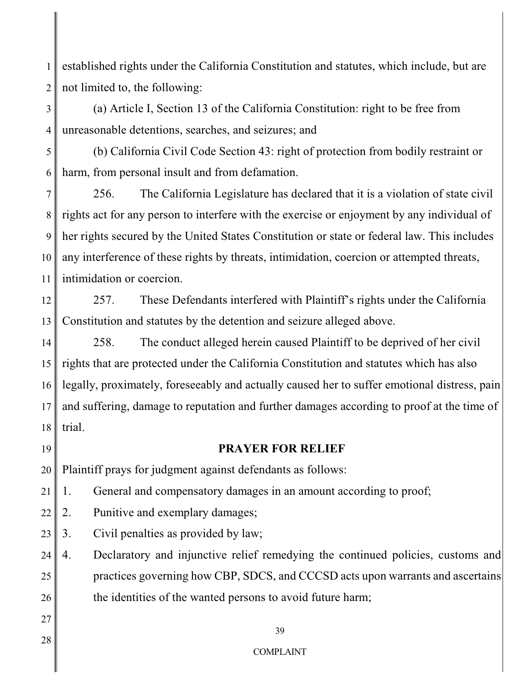1 2 established rights under the California Constitution and statutes, which include, but are not limited to, the following:

(a) Article I, Section 13 of the California Constitution: right to be free from unreasonable detentions, searches, and seizures; and

5 6 (b) California Civil Code Section 43: right of protection from bodily restraint or harm, from personal insult and from defamation.

7 8 9 10 11 256. The California Legislature has declared that it is a violation of state civil rights act for any person to interfere with the exercise or enjoyment by any individual of her rights secured by the United States Constitution or state or federal law. This includes any interference of these rights by threats, intimidation, coercion or attempted threats, intimidation or coercion.

12 13 257. These Defendants interfered with Plaintiff's rights under the California Constitution and statutes by the detention and seizure alleged above.

14 15 16 17 18 258. The conduct alleged herein caused Plaintiff to be deprived of her civil rights that are protected under the California Constitution and statutes which has also legally, proximately, foreseeably and actually caused her to suffer emotional distress, pain and suffering, damage to reputation and further damages according to proof at the time of trial.

19

3

4

#### **PRAYER FOR RELIEF**

20 Plaintiff prays for judgment against defendants as follows:

21 1. General and compensatory damages in an amount according to proof;

- 22 2. Punitive and exemplary damages;
- 23 3. Civil penalties as provided by law;

24 25 26 4. Declaratory and injunctive relief remedying the continued policies, customs and practices governing how CBP, SDCS, and CCCSD acts upon warrants and ascertains the identities of the wanted persons to avoid future harm;

27 28